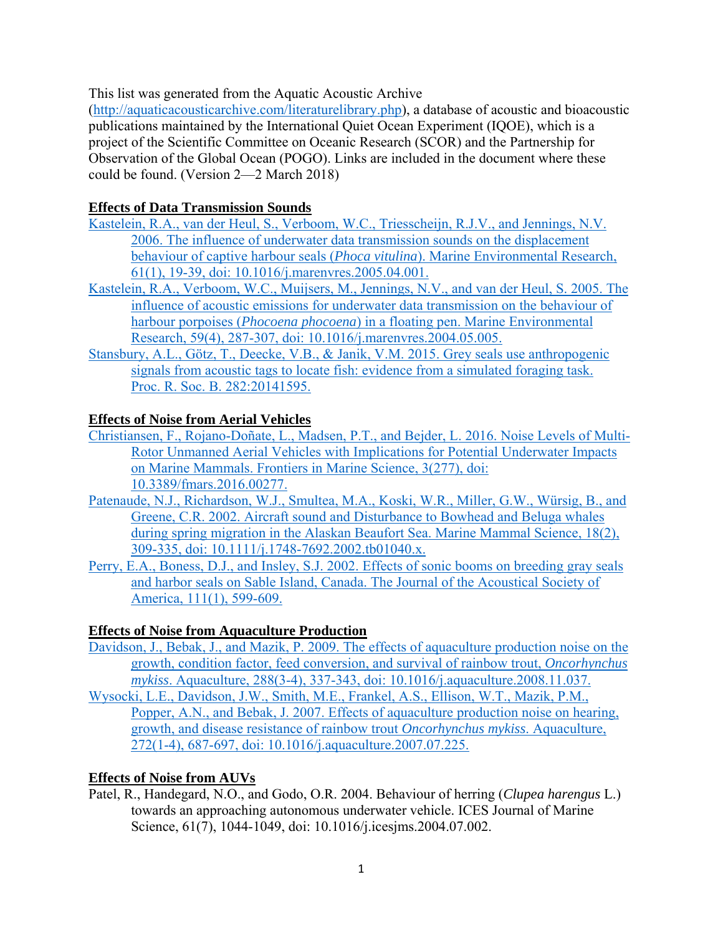This list was generated from the Aquatic Acoustic Archive

(http://aquaticacousticarchive.com/literaturelibrary.php), a database of acoustic and bioacoustic publications maintained by the International Quiet Ocean Experiment (IQOE), which is a project of the Scientific Committee on Oceanic Research (SCOR) and the Partnership for Observation of the Global Ocean (POGO). Links are included in the document where these could be found. (Version 2—2 March 2018)

## **Effects of Data Transmission Sounds**

- Kastelein, R.A., van der Heul, S., Verboom, W.C., Triesscheijn, R.J.V., and Jennings, N.V. 2006. The influence of underwater data transmission sounds on the displacement behaviour of captive harbour seals (*Phoca vitulina*). Marine Environmental Research, 61(1), 19-39, doi: 10.1016/j.marenvres.2005.04.001.
- Kastelein, R.A., Verboom, W.C., Muijsers, M., Jennings, N.V., and van der Heul, S. 2005. The influence of acoustic emissions for underwater data transmission on the behaviour of harbour porpoises (*Phocoena phocoena*) in a floating pen. Marine Environmental Research, 59(4), 287-307, doi: 10.1016/j.marenvres.2004.05.005.
- Stansbury, A.L., Götz, T., Deecke, V.B., & Janik, V.M. 2015. Grey seals use anthropogenic signals from acoustic tags to locate fish: evidence from a simulated foraging task. Proc. R. Soc. B. 282:20141595.

## **Effects of Noise from Aerial Vehicles**

- Christiansen, F., Rojano-Doñate, L., Madsen, P.T., and Bejder, L. 2016. Noise Levels of Multi-Rotor Unmanned Aerial Vehicles with Implications for Potential Underwater Impacts on Marine Mammals. Frontiers in Marine Science, 3(277), doi: 10.3389/fmars.2016.00277.
- Patenaude, N.J., Richardson, W.J., Smultea, M.A., Koski, W.R., Miller, G.W., Würsig, B., and Greene, C.R. 2002. Aircraft sound and Disturbance to Bowhead and Beluga whales during spring migration in the Alaskan Beaufort Sea. Marine Mammal Science, 18(2), 309-335, doi: 10.1111/j.1748-7692.2002.tb01040.x.
- Perry, E.A., Boness, D.J., and Insley, S.J. 2002. Effects of sonic booms on breeding gray seals and harbor seals on Sable Island, Canada. The Journal of the Acoustical Society of America, 111(1), 599-609.

# **Effects of Noise from Aquaculture Production**

- Davidson, J., Bebak, J., and Mazik, P. 2009. The effects of aquaculture production noise on the growth, condition factor, feed conversion, and survival of rainbow trout, *Oncorhynchus mykiss*. Aquaculture, 288(3-4), 337-343, doi: 10.1016/j.aquaculture.2008.11.037.
- Wysocki, L.E., Davidson, J.W., Smith, M.E., Frankel, A.S., Ellison, W.T., Mazik, P.M., Popper, A.N., and Bebak, J. 2007. Effects of aquaculture production noise on hearing, growth, and disease resistance of rainbow trout *Oncorhynchus mykiss*. Aquaculture, 272(1-4), 687-697, doi: 10.1016/j.aquaculture.2007.07.225.

# **Effects of Noise from AUVs**

Patel, R., Handegard, N.O., and Godo, O.R. 2004. Behaviour of herring (*Clupea harengus* L.) towards an approaching autonomous underwater vehicle. ICES Journal of Marine Science, 61(7), 1044-1049, doi: 10.1016/j.icesjms.2004.07.002.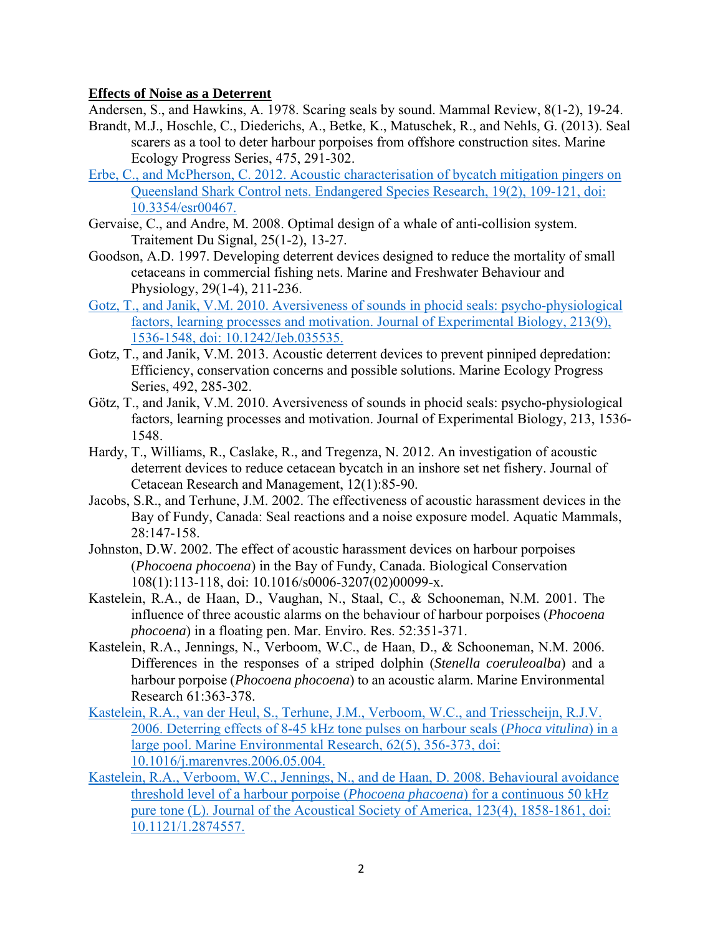#### **Effects of Noise as a Deterrent**

Andersen, S., and Hawkins, A. 1978. Scaring seals by sound. Mammal Review, 8(1-2), 19-24.

- Brandt, M.J., Hoschle, C., Diederichs, A., Betke, K., Matuschek, R., and Nehls, G. (2013). Seal scarers as a tool to deter harbour porpoises from offshore construction sites. Marine Ecology Progress Series, 475, 291-302.
- Erbe, C., and McPherson, C. 2012. Acoustic characterisation of bycatch mitigation pingers on Queensland Shark Control nets. Endangered Species Research, 19(2), 109-121, doi: 10.3354/esr00467.
- Gervaise, C., and Andre, M. 2008. Optimal design of a whale of anti-collision system. Traitement Du Signal, 25(1-2), 13-27.
- Goodson, A.D. 1997. Developing deterrent devices designed to reduce the mortality of small cetaceans in commercial fishing nets. Marine and Freshwater Behaviour and Physiology, 29(1-4), 211-236.
- Gotz, T., and Janik, V.M. 2010. Aversiveness of sounds in phocid seals: psycho-physiological factors, learning processes and motivation. Journal of Experimental Biology, 213(9), 1536-1548, doi: 10.1242/Jeb.035535.
- Gotz, T., and Janik, V.M. 2013. Acoustic deterrent devices to prevent pinniped depredation: Efficiency, conservation concerns and possible solutions. Marine Ecology Progress Series, 492, 285-302.
- Götz, T., and Janik, V.M. 2010. Aversiveness of sounds in phocid seals: psycho-physiological factors, learning processes and motivation. Journal of Experimental Biology, 213, 1536- 1548.
- Hardy, T., Williams, R., Caslake, R., and Tregenza, N. 2012. An investigation of acoustic deterrent devices to reduce cetacean bycatch in an inshore set net fishery. Journal of Cetacean Research and Management, 12(1):85-90.
- Jacobs, S.R., and Terhune, J.M. 2002. The effectiveness of acoustic harassment devices in the Bay of Fundy, Canada: Seal reactions and a noise exposure model. Aquatic Mammals, 28:147-158.
- Johnston, D.W. 2002. The effect of acoustic harassment devices on harbour porpoises (*Phocoena phocoena*) in the Bay of Fundy, Canada. Biological Conservation 108(1):113-118, doi: 10.1016/s0006-3207(02)00099-x.
- Kastelein, R.A., de Haan, D., Vaughan, N., Staal, C., & Schooneman, N.M. 2001. The influence of three acoustic alarms on the behaviour of harbour porpoises (*Phocoena phocoena*) in a floating pen. Mar. Enviro. Res. 52:351-371.
- Kastelein, R.A., Jennings, N., Verboom, W.C., de Haan, D., & Schooneman, N.M. 2006. Differences in the responses of a striped dolphin (*Stenella coeruleoalba*) and a harbour porpoise (*Phocoena phocoena*) to an acoustic alarm. Marine Environmental Research 61:363-378.
- Kastelein, R.A., van der Heul, S., Terhune, J.M., Verboom, W.C., and Triesscheijn, R.J.V. 2006. Deterring effects of 8-45 kHz tone pulses on harbour seals (*Phoca vitulina*) in a large pool. Marine Environmental Research, 62(5), 356-373, doi: 10.1016/j.marenvres.2006.05.004.
- Kastelein, R.A., Verboom, W.C., Jennings, N., and de Haan, D. 2008. Behavioural avoidance threshold level of a harbour porpoise (*Phocoena phacoena*) for a continuous 50 kHz pure tone (L). Journal of the Acoustical Society of America, 123(4), 1858-1861, doi: 10.1121/1.2874557.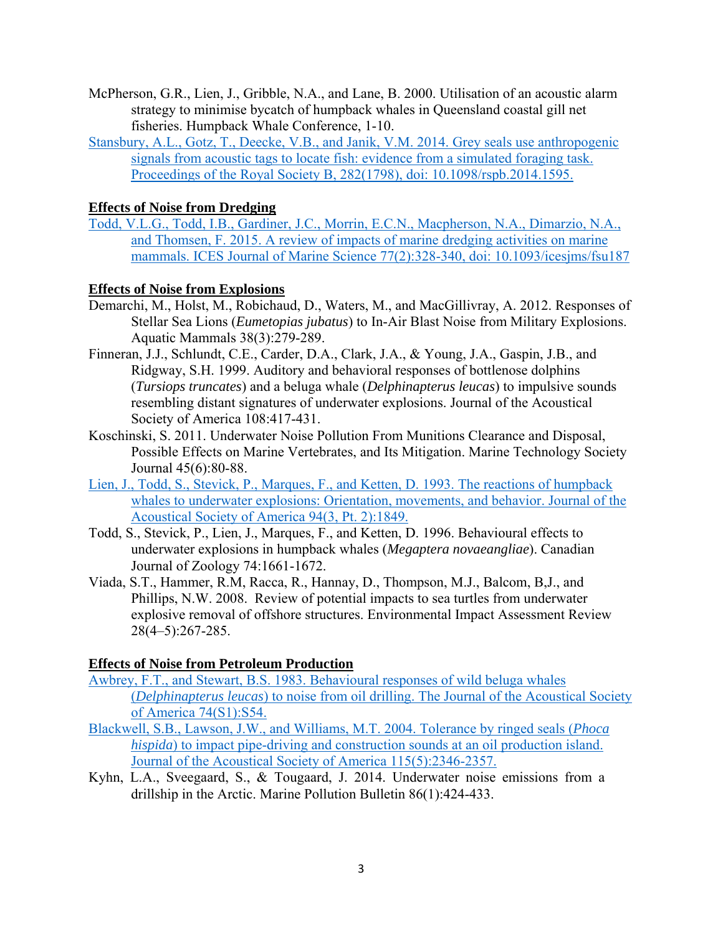- McPherson, G.R., Lien, J., Gribble, N.A., and Lane, B. 2000. Utilisation of an acoustic alarm strategy to minimise bycatch of humpback whales in Queensland coastal gill net fisheries. Humpback Whale Conference, 1-10.
- Stansbury, A.L., Gotz, T., Deecke, V.B., and Janik, V.M. 2014. Grey seals use anthropogenic signals from acoustic tags to locate fish: evidence from a simulated foraging task. Proceedings of the Royal Society B, 282(1798), doi: 10.1098/rspb.2014.1595.

## **Effects of Noise from Dredging**

Todd, V.L.G., Todd, I.B., Gardiner, J.C., Morrin, E.C.N., Macpherson, N.A., Dimarzio, N.A., and Thomsen, F. 2015. A review of impacts of marine dredging activities on marine mammals. ICES Journal of Marine Science 77(2):328-340, doi: 10.1093/icesjms/fsu187

## **Effects of Noise from Explosions**

- Demarchi, M., Holst, M., Robichaud, D., Waters, M., and MacGillivray, A. 2012. Responses of Stellar Sea Lions (*Eumetopias jubatus*) to In-Air Blast Noise from Military Explosions. Aquatic Mammals 38(3):279-289.
- Finneran, J.J., Schlundt, C.E., Carder, D.A., Clark, J.A., & Young, J.A., Gaspin, J.B., and Ridgway, S.H. 1999. Auditory and behavioral responses of bottlenose dolphins (*Tursiops truncates*) and a beluga whale (*Delphinapterus leucas*) to impulsive sounds resembling distant signatures of underwater explosions. Journal of the Acoustical Society of America 108:417-431.
- Koschinski, S. 2011. Underwater Noise Pollution From Munitions Clearance and Disposal, Possible Effects on Marine Vertebrates, and Its Mitigation. Marine Technology Society Journal 45(6):80-88.
- Lien, J., Todd, S., Stevick, P., Marques, F., and Ketten, D. 1993. The reactions of humpback whales to underwater explosions: Orientation, movements, and behavior. Journal of the Acoustical Society of America 94(3, Pt. 2):1849.
- Todd, S., Stevick, P., Lien, J., Marques, F., and Ketten, D. 1996. Behavioural effects to underwater explosions in humpback whales (*Megaptera novaeangliae*). Canadian Journal of Zoology 74:1661-1672.
- Viada, S.T., Hammer, R.M, Racca, R., Hannay, D., Thompson, M.J., Balcom, B,J., and Phillips, N.W. 2008. Review of potential impacts to sea turtles from underwater explosive removal of offshore structures. Environmental Impact Assessment Review 28(4–5):267-285.

## **Effects of Noise from Petroleum Production**

- Awbrey, F.T., and Stewart, B.S. 1983. Behavioural responses of wild beluga whales (*Delphinapterus leucas*) to noise from oil drilling. The Journal of the Acoustical Society of America 74(S1):S54.
- Blackwell, S.B., Lawson, J.W., and Williams, M.T. 2004. Tolerance by ringed seals (*Phoca hispida*) to impact pipe-driving and construction sounds at an oil production island. Journal of the Acoustical Society of America 115(5):2346-2357.
- Kyhn, L.A., Sveegaard, S., & Tougaard, J. 2014. Underwater noise emissions from a drillship in the Arctic. Marine Pollution Bulletin 86(1):424-433.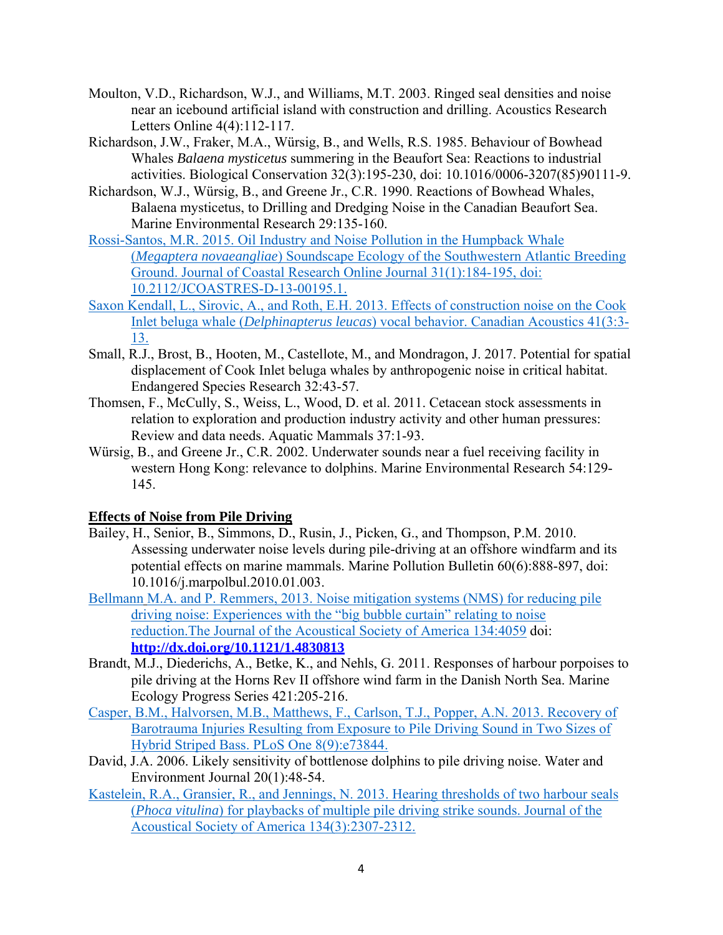- Moulton, V.D., Richardson, W.J., and Williams, M.T. 2003. Ringed seal densities and noise near an icebound artificial island with construction and drilling. Acoustics Research Letters Online 4(4):112-117.
- Richardson, J.W., Fraker, M.A., Würsig, B., and Wells, R.S. 1985. Behaviour of Bowhead Whales *Balaena mysticetus* summering in the Beaufort Sea: Reactions to industrial activities. Biological Conservation 32(3):195-230, doi: 10.1016/0006-3207(85)90111-9.
- Richardson, W.J., Würsig, B., and Greene Jr., C.R. 1990. Reactions of Bowhead Whales, Balaena mysticetus, to Drilling and Dredging Noise in the Canadian Beaufort Sea. Marine Environmental Research 29:135-160.
- Rossi-Santos, M.R. 2015. Oil Industry and Noise Pollution in the Humpback Whale (*Megaptera novaeangliae*) Soundscape Ecology of the Southwestern Atlantic Breeding Ground. Journal of Coastal Research Online Journal 31(1):184-195, doi: 10.2112/JCOASTRES-D-13-00195.1.
- Saxon Kendall, L., Sirovic, A., and Roth, E.H. 2013. Effects of construction noise on the Cook Inlet beluga whale (*Delphinapterus leucas*) vocal behavior. Canadian Acoustics 41(3:3- 13.
- Small, R.J., Brost, B., Hooten, M., Castellote, M., and Mondragon, J. 2017. Potential for spatial displacement of Cook Inlet beluga whales by anthropogenic noise in critical habitat. Endangered Species Research 32:43-57.
- Thomsen, F., McCully, S., Weiss, L., Wood, D. et al. 2011. Cetacean stock assessments in relation to exploration and production industry activity and other human pressures: Review and data needs. Aquatic Mammals 37:1-93.
- Würsig, B., and Greene Jr., C.R. 2002. Underwater sounds near a fuel receiving facility in western Hong Kong: relevance to dolphins. Marine Environmental Research 54:129- 145.

#### **Effects of Noise from Pile Driving**

- Bailey, H., Senior, B., Simmons, D., Rusin, J., Picken, G., and Thompson, P.M. 2010. Assessing underwater noise levels during pile-driving at an offshore windfarm and its potential effects on marine mammals. Marine Pollution Bulletin 60(6):888-897, doi: 10.1016/j.marpolbul.2010.01.003.
- Bellmann M.A. and P. Remmers, 2013. Noise mitigation systems (NMS) for reducing pile driving noise: Experiences with the "big bubble curtain" relating to noise reduction.The Journal of the Acoustical Society of America 134:4059 doi: **http://dx.doi.org/10.1121/1.4830813**
- Brandt, M.J., Diederichs, A., Betke, K., and Nehls, G. 2011. Responses of harbour porpoises to pile driving at the Horns Rev II offshore wind farm in the Danish North Sea. Marine Ecology Progress Series 421:205-216.
- Casper, B.M., Halvorsen, M.B., Matthews, F., Carlson, T.J., Popper, A.N. 2013. Recovery of Barotrauma Injuries Resulting from Exposure to Pile Driving Sound in Two Sizes of Hybrid Striped Bass. PLoS One 8(9):e73844.
- David, J.A. 2006. Likely sensitivity of bottlenose dolphins to pile driving noise. Water and Environment Journal 20(1):48-54.
- Kastelein, R.A., Gransier, R., and Jennings, N. 2013. Hearing thresholds of two harbour seals (*Phoca vitulina*) for playbacks of multiple pile driving strike sounds. Journal of the Acoustical Society of America 134(3):2307-2312.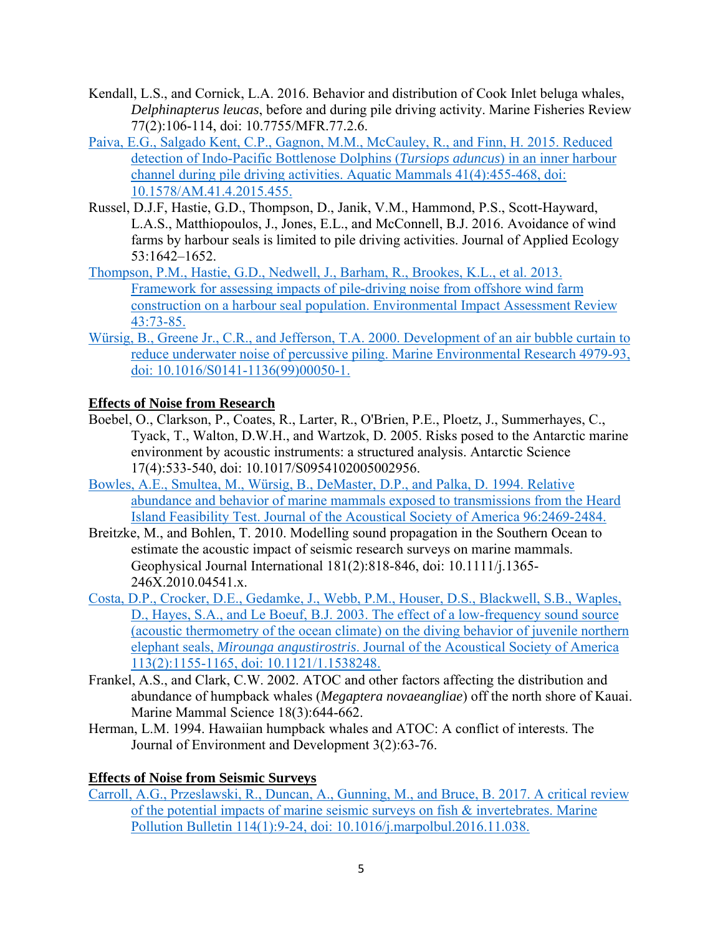- Kendall, L.S., and Cornick, L.A. 2016. Behavior and distribution of Cook Inlet beluga whales, *Delphinapterus leucas*, before and during pile driving activity. Marine Fisheries Review 77(2):106-114, doi: 10.7755/MFR.77.2.6.
- Paiva, E.G., Salgado Kent, C.P., Gagnon, M.M., McCauley, R., and Finn, H. 2015. Reduced detection of Indo-Pacific Bottlenose Dolphins (*Tursiops aduncus*) in an inner harbour channel during pile driving activities. Aquatic Mammals 41(4):455-468, doi: 10.1578/AM.41.4.2015.455.
- Russel, D.J.F, Hastie, G.D., Thompson, D., Janik, V.M., Hammond, P.S., Scott-Hayward, L.A.S., Matthiopoulos, J., Jones, E.L., and McConnell, B.J. 2016. Avoidance of wind farms by harbour seals is limited to pile driving activities. Journal of Applied Ecology 53:1642–1652.
- Thompson, P.M., Hastie, G.D., Nedwell, J., Barham, R., Brookes, K.L., et al. 2013. Framework for assessing impacts of pile-driving noise from offshore wind farm construction on a harbour seal population. Environmental Impact Assessment Review 43:73-85.
- Würsig, B., Greene Jr., C.R., and Jefferson, T.A. 2000. Development of an air bubble curtain to reduce underwater noise of percussive piling. Marine Environmental Research 4979-93, doi: 10.1016/S0141-1136(99)00050-1.

## **Effects of Noise from Research**

- Boebel, O., Clarkson, P., Coates, R., Larter, R., O'Brien, P.E., Ploetz, J., Summerhayes, C., Tyack, T., Walton, D.W.H., and Wartzok, D. 2005. Risks posed to the Antarctic marine environment by acoustic instruments: a structured analysis. Antarctic Science 17(4):533-540, doi: 10.1017/S0954102005002956.
- Bowles, A.E., Smultea, M., Würsig, B., DeMaster, D.P., and Palka, D. 1994. Relative abundance and behavior of marine mammals exposed to transmissions from the Heard Island Feasibility Test. Journal of the Acoustical Society of America 96:2469-2484.
- Breitzke, M., and Bohlen, T. 2010. Modelling sound propagation in the Southern Ocean to estimate the acoustic impact of seismic research surveys on marine mammals. Geophysical Journal International 181(2):818-846, doi: 10.1111/j.1365- 246X.2010.04541.x.
- Costa, D.P., Crocker, D.E., Gedamke, J., Webb, P.M., Houser, D.S., Blackwell, S.B., Waples, D., Hayes, S.A., and Le Boeuf, B.J. 2003. The effect of a low-frequency sound source (acoustic thermometry of the ocean climate) on the diving behavior of juvenile northern elephant seals, *Mirounga angustirostris*. Journal of the Acoustical Society of America 113(2):1155-1165, doi: 10.1121/1.1538248.
- Frankel, A.S., and Clark, C.W. 2002. ATOC and other factors affecting the distribution and abundance of humpback whales (*Megaptera novaeangliae*) off the north shore of Kauai. Marine Mammal Science 18(3):644-662.
- Herman, L.M. 1994. Hawaiian humpback whales and ATOC: A conflict of interests. The Journal of Environment and Development 3(2):63-76.

## **Effects of Noise from Seismic Surveys**

Carroll, A.G., Przeslawski, R., Duncan, A., Gunning, M., and Bruce, B. 2017. A critical review of the potential impacts of marine seismic surveys on fish & invertebrates. Marine Pollution Bulletin 114(1):9-24, doi: 10.1016/j.marpolbul.2016.11.038.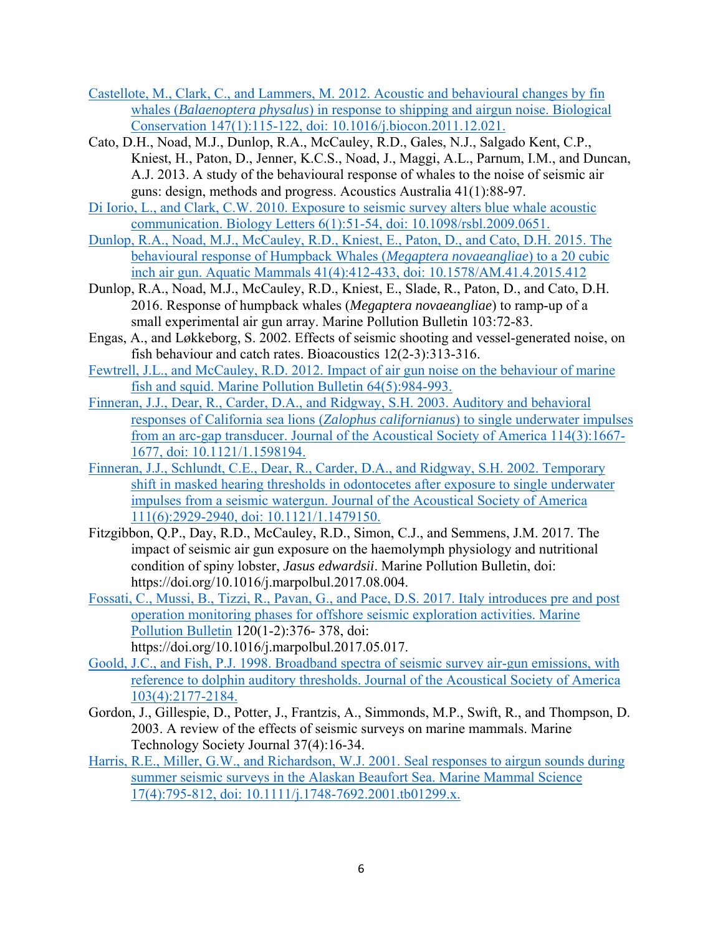- Castellote, M., Clark, C., and Lammers, M. 2012. Acoustic and behavioural changes by fin whales (*Balaenoptera physalus*) in response to shipping and airgun noise. Biological Conservation 147(1):115-122, doi: 10.1016/j.biocon.2011.12.021.
- Cato, D.H., Noad, M.J., Dunlop, R.A., McCauley, R.D., Gales, N.J., Salgado Kent, C.P., Kniest, H., Paton, D., Jenner, K.C.S., Noad, J., Maggi, A.L., Parnum, I.M., and Duncan, A.J. 2013. A study of the behavioural response of whales to the noise of seismic air guns: design, methods and progress. Acoustics Australia 41(1):88-97.
- Di Iorio, L., and Clark, C.W. 2010. Exposure to seismic survey alters blue whale acoustic communication. Biology Letters 6(1):51-54, doi: 10.1098/rsbl.2009.0651.
- Dunlop, R.A., Noad, M.J., McCauley, R.D., Kniest, E., Paton, D., and Cato, D.H. 2015. The behavioural response of Humpback Whales (*Megaptera novaeangliae*) to a 20 cubic inch air gun. Aquatic Mammals 41(4):412-433, doi: 10.1578/AM.41.4.2015.412
- Dunlop, R.A., Noad, M.J., McCauley, R.D., Kniest, E., Slade, R., Paton, D., and Cato, D.H. 2016. Response of humpback whales (*Megaptera novaeangliae*) to ramp-up of a small experimental air gun array. Marine Pollution Bulletin 103:72-83.
- Engas, A., and Løkkeborg, S. 2002. Effects of seismic shooting and vessel-generated noise, on fish behaviour and catch rates. Bioacoustics 12(2-3):313-316.
- Fewtrell, J.L., and McCauley, R.D. 2012. Impact of air gun noise on the behaviour of marine fish and squid. Marine Pollution Bulletin 64(5):984-993.
- Finneran, J.J., Dear, R., Carder, D.A., and Ridgway, S.H. 2003. Auditory and behavioral responses of California sea lions (*Zalophus californianus*) to single underwater impulses from an arc-gap transducer. Journal of the Acoustical Society of America 114(3):1667- 1677, doi: 10.1121/1.1598194.
- Finneran, J.J., Schlundt, C.E., Dear, R., Carder, D.A., and Ridgway, S.H. 2002. Temporary shift in masked hearing thresholds in odontocetes after exposure to single underwater impulses from a seismic watergun. Journal of the Acoustical Society of America 111(6):2929-2940, doi: 10.1121/1.1479150.
- Fitzgibbon, Q.P., Day, R.D., McCauley, R.D., Simon, C.J., and Semmens, J.M. 2017. The impact of seismic air gun exposure on the haemolymph physiology and nutritional condition of spiny lobster, *Jasus edwardsii*. Marine Pollution Bulletin, doi: https://doi.org/10.1016/j.marpolbul.2017.08.004.
- Fossati, C., Mussi, B., Tizzi, R., Pavan, G., and Pace, D.S. 2017. Italy introduces pre and post operation monitoring phases for offshore seismic exploration activities. Marine Pollution Bulletin 120(1-2):376- 378, doi:
	- https://doi.org/10.1016/j.marpolbul.2017.05.017.
- Goold, J.C., and Fish, P.J. 1998. Broadband spectra of seismic survey air-gun emissions, with reference to dolphin auditory thresholds. Journal of the Acoustical Society of America 103(4):2177-2184.
- Gordon, J., Gillespie, D., Potter, J., Frantzis, A., Simmonds, M.P., Swift, R., and Thompson, D. 2003. A review of the effects of seismic surveys on marine mammals. Marine Technology Society Journal 37(4):16-34.
- Harris, R.E., Miller, G.W., and Richardson, W.J. 2001. Seal responses to airgun sounds during summer seismic surveys in the Alaskan Beaufort Sea. Marine Mammal Science 17(4):795-812, doi: 10.1111/j.1748-7692.2001.tb01299.x.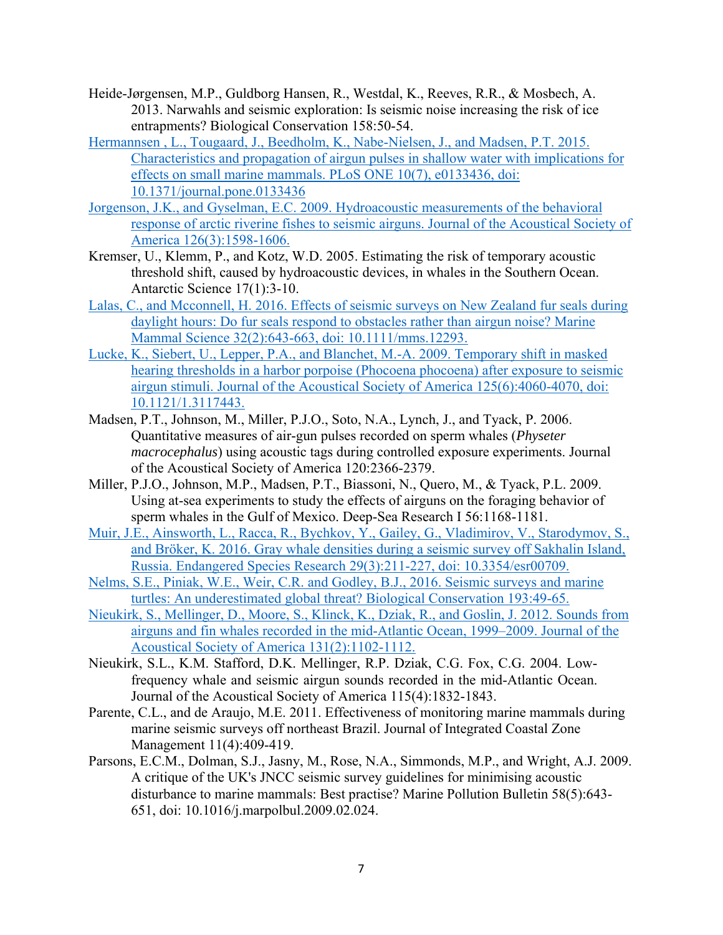- Heide-Jørgensen, M.P., Guldborg Hansen, R., Westdal, K., Reeves, R.R., & Mosbech, A. 2013. Narwahls and seismic exploration: Is seismic noise increasing the risk of ice entrapments? Biological Conservation 158:50-54.
- Hermannsen , L., Tougaard, J., Beedholm, K., Nabe-Nielsen, J., and Madsen, P.T. 2015. Characteristics and propagation of airgun pulses in shallow water with implications for effects on small marine mammals. PLoS ONE 10(7), e0133436, doi: 10.1371/journal.pone.0133436
- Jorgenson, J.K., and Gyselman, E.C. 2009. Hydroacoustic measurements of the behavioral response of arctic riverine fishes to seismic airguns. Journal of the Acoustical Society of America 126(3):1598-1606.
- Kremser, U., Klemm, P., and Kotz, W.D. 2005. Estimating the risk of temporary acoustic threshold shift, caused by hydroacoustic devices, in whales in the Southern Ocean. Antarctic Science 17(1):3-10.
- Lalas, C., and Mcconnell, H. 2016. Effects of seismic surveys on New Zealand fur seals during daylight hours: Do fur seals respond to obstacles rather than airgun noise? Marine Mammal Science 32(2):643-663, doi: 10.1111/mms.12293.
- Lucke, K., Siebert, U., Lepper, P.A., and Blanchet, M.-A. 2009. Temporary shift in masked hearing thresholds in a harbor porpoise (Phocoena phocoena) after exposure to seismic airgun stimuli. Journal of the Acoustical Society of America 125(6):4060-4070, doi: 10.1121/1.3117443.
- Madsen, P.T., Johnson, M., Miller, P.J.O., Soto, N.A., Lynch, J., and Tyack, P. 2006. Quantitative measures of air-gun pulses recorded on sperm whales (*Physeter macrocephalus*) using acoustic tags during controlled exposure experiments. Journal of the Acoustical Society of America 120:2366-2379.
- Miller, P.J.O., Johnson, M.P., Madsen, P.T., Biassoni, N., Quero, M., & Tyack, P.L. 2009. Using at-sea experiments to study the effects of airguns on the foraging behavior of sperm whales in the Gulf of Mexico. Deep-Sea Research I 56:1168-1181.
- Muir, J.E., Ainsworth, L., Racca, R., Bychkov, Y., Gailey, G., Vladimirov, V., Starodymov, S., and Bröker, K. 2016. Gray whale densities during a seismic survey off Sakhalin Island, Russia. Endangered Species Research 29(3):211-227, doi: 10.3354/esr00709.
- Nelms, S.E., Piniak, W.E., Weir, C.R. and Godley, B.J., 2016. Seismic surveys and marine turtles: An underestimated global threat? Biological Conservation 193:49-65.
- Nieukirk, S., Mellinger, D., Moore, S., Klinck, K., Dziak, R., and Goslin, J. 2012. Sounds from airguns and fin whales recorded in the mid-Atlantic Ocean, 1999–2009. Journal of the Acoustical Society of America 131(2):1102-1112.
- Nieukirk, S.L., K.M. Stafford, D.K. Mellinger, R.P. Dziak, C.G. Fox, C.G. 2004. Lowfrequency whale and seismic airgun sounds recorded in the mid-Atlantic Ocean. Journal of the Acoustical Society of America 115(4):1832-1843.
- Parente, C.L., and de Araujo, M.E. 2011. Effectiveness of monitoring marine mammals during marine seismic surveys off northeast Brazil. Journal of Integrated Coastal Zone Management 11(4):409-419.
- Parsons, E.C.M., Dolman, S.J., Jasny, M., Rose, N.A., Simmonds, M.P., and Wright, A.J. 2009. A critique of the UK's JNCC seismic survey guidelines for minimising acoustic disturbance to marine mammals: Best practise? Marine Pollution Bulletin 58(5):643- 651, doi: 10.1016/j.marpolbul.2009.02.024.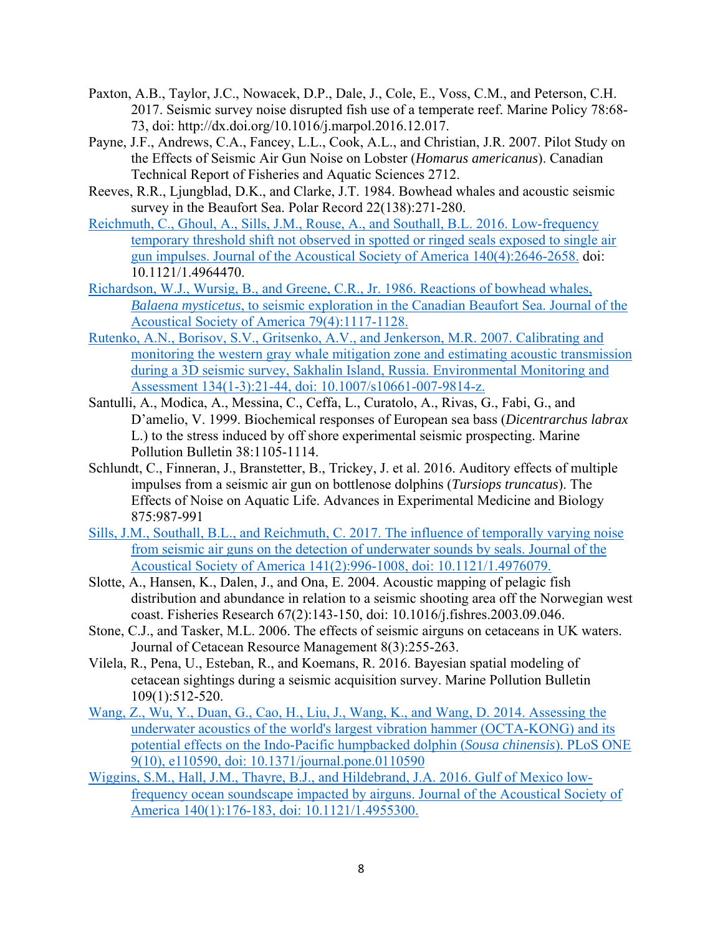- Paxton, A.B., Taylor, J.C., Nowacek, D.P., Dale, J., Cole, E., Voss, C.M., and Peterson, C.H. 2017. Seismic survey noise disrupted fish use of a temperate reef. Marine Policy 78:68- 73, doi: http://dx.doi.org/10.1016/j.marpol.2016.12.017.
- Payne, J.F., Andrews, C.A., Fancey, L.L., Cook, A.L., and Christian, J.R. 2007. Pilot Study on the Effects of Seismic Air Gun Noise on Lobster (*Homarus americanus*). Canadian Technical Report of Fisheries and Aquatic Sciences 2712.
- Reeves, R.R., Ljungblad, D.K., and Clarke, J.T. 1984. Bowhead whales and acoustic seismic survey in the Beaufort Sea. Polar Record 22(138):271-280.
- Reichmuth, C., Ghoul, A., Sills, J.M., Rouse, A., and Southall, B.L. 2016. Low-frequency temporary threshold shift not observed in spotted or ringed seals exposed to single air gun impulses. Journal of the Acoustical Society of America 140(4):2646-2658. doi: 10.1121/1.4964470.
- Richardson, W.J., Wursig, B., and Greene, C.R., Jr. 1986. Reactions of bowhead whales, *Balaena mysticetus*, to seismic exploration in the Canadian Beaufort Sea. Journal of the Acoustical Society of America 79(4):1117-1128.
- Rutenko, A.N., Borisov, S.V., Gritsenko, A.V., and Jenkerson, M.R. 2007. Calibrating and monitoring the western gray whale mitigation zone and estimating acoustic transmission during a 3D seismic survey, Sakhalin Island, Russia. Environmental Monitoring and Assessment 134(1-3):21-44, doi: 10.1007/s10661-007-9814-z.
- Santulli, A., Modica, A., Messina, C., Ceffa, L., Curatolo, A., Rivas, G., Fabi, G., and D'amelio, V. 1999. Biochemical responses of European sea bass (*Dicentrarchus labrax* L.) to the stress induced by off shore experimental seismic prospecting. Marine Pollution Bulletin 38:1105-1114.
- Schlundt, C., Finneran, J., Branstetter, B., Trickey, J. et al. 2016. Auditory effects of multiple impulses from a seismic air gun on bottlenose dolphins (*Tursiops truncatus*). The Effects of Noise on Aquatic Life. Advances in Experimental Medicine and Biology 875:987-991
- Sills, J.M., Southall, B.L., and Reichmuth, C. 2017. The influence of temporally varying noise from seismic air guns on the detection of underwater sounds by seals. Journal of the Acoustical Society of America 141(2):996-1008, doi: 10.1121/1.4976079.
- Slotte, A., Hansen, K., Dalen, J., and Ona, E. 2004. Acoustic mapping of pelagic fish distribution and abundance in relation to a seismic shooting area off the Norwegian west coast. Fisheries Research 67(2):143-150, doi: 10.1016/j.fishres.2003.09.046.
- Stone, C.J., and Tasker, M.L. 2006. The effects of seismic airguns on cetaceans in UK waters. Journal of Cetacean Resource Management 8(3):255-263.
- Vilela, R., Pena, U., Esteban, R., and Koemans, R. 2016. Bayesian spatial modeling of cetacean sightings during a seismic acquisition survey. Marine Pollution Bulletin 109(1):512-520.
- Wang, Z., Wu, Y., Duan, G., Cao, H., Liu, J., Wang, K., and Wang, D. 2014. Assessing the underwater acoustics of the world's largest vibration hammer (OCTA-KONG) and its potential effects on the Indo-Pacific humpbacked dolphin (*Sousa chinensis*). PLoS ONE 9(10), e110590, doi: 10.1371/journal.pone.0110590
- Wiggins, S.M., Hall, J.M., Thayre, B.J., and Hildebrand, J.A. 2016. Gulf of Mexico lowfrequency ocean soundscape impacted by airguns. Journal of the Acoustical Society of America 140(1):176-183, doi: 10.1121/1.4955300.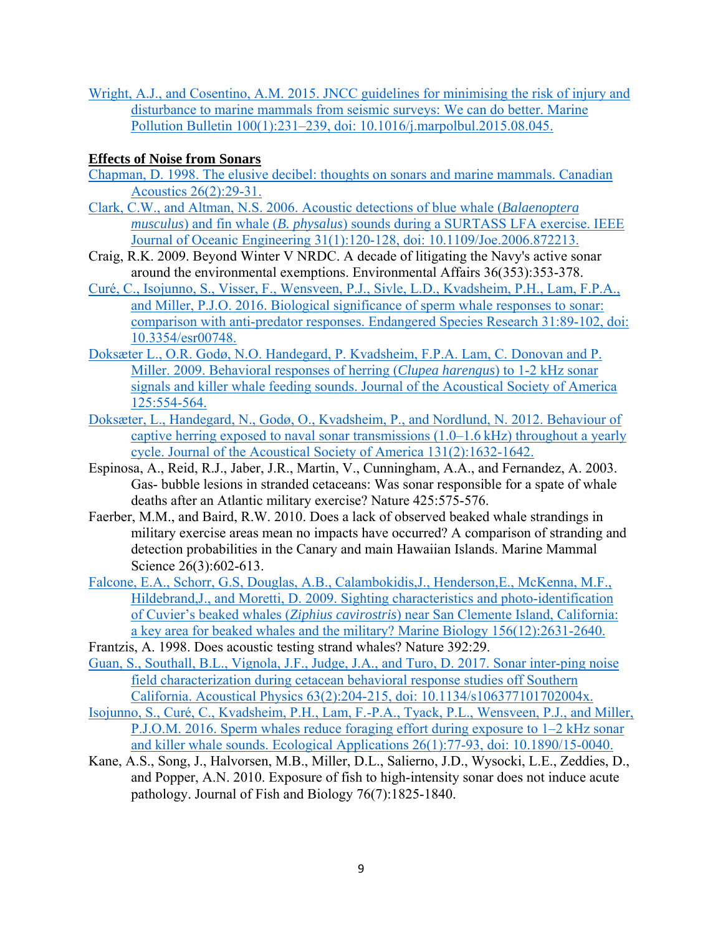Wright, A.J., and Cosentino, A.M. 2015. JNCC guidelines for minimising the risk of injury and disturbance to marine mammals from seismic surveys: We can do better. Marine Pollution Bulletin 100(1):231–239, doi: 10.1016/j.marpolbul.2015.08.045.

## **Effects of Noise from Sonars**

- Chapman, D. 1998. The elusive decibel: thoughts on sonars and marine mammals. Canadian Acoustics 26(2):29-31.
- Clark, C.W., and Altman, N.S. 2006. Acoustic detections of blue whale (*Balaenoptera musculus*) and fin whale (*B. physalus*) sounds during a SURTASS LFA exercise. IEEE Journal of Oceanic Engineering 31(1):120-128, doi: 10.1109/Joe.2006.872213.
- Craig, R.K. 2009. Beyond Winter V NRDC. A decade of litigating the Navy's active sonar around the environmental exemptions. Environmental Affairs 36(353):353-378.
- Curé, C., Isojunno, S., Visser, F., Wensveen, P.J., Sivle, L.D., Kvadsheim, P.H., Lam, F.P.A., and Miller, P.J.O. 2016. Biological significance of sperm whale responses to sonar: comparison with anti-predator responses. Endangered Species Research 31:89-102, doi: 10.3354/esr00748.
- Doksæter L., O.R. Godø, N.O. Handegard, P. Kvadsheim, F.P.A. Lam, C. Donovan and P. Miller. 2009. Behavioral responses of herring (*Clupea harengus*) to 1-2 kHz sonar signals and killer whale feeding sounds. Journal of the Acoustical Society of America 125:554-564.
- Doksæter, L., Handegard, N., Godø, O., Kvadsheim, P., and Nordlund, N. 2012. Behaviour of captive herring exposed to naval sonar transmissions (1.0–1.6 kHz) throughout a yearly cycle. Journal of the Acoustical Society of America 131(2):1632-1642.
- Espinosa, A., Reid, R.J., Jaber, J.R., Martin, V., Cunningham, A.A., and Fernandez, A. 2003. Gas- bubble lesions in stranded cetaceans: Was sonar responsible for a spate of whale deaths after an Atlantic military exercise? Nature 425:575-576.
- Faerber, M.M., and Baird, R.W. 2010. Does a lack of observed beaked whale strandings in military exercise areas mean no impacts have occurred? A comparison of stranding and detection probabilities in the Canary and main Hawaiian Islands. Marine Mammal Science 26(3):602-613.
- Falcone, E.A., Schorr, G.S, Douglas, A.B., Calambokidis,J., Henderson,E., McKenna, M.F., Hildebrand, J., and Moretti, D. 2009. Sighting characteristics and photo-identification of Cuvier's beaked whales (*Ziphius cavirostris*) near San Clemente Island, California: a key area for beaked whales and the military? Marine Biology 156(12):2631-2640.
- Frantzis, A. 1998. Does acoustic testing strand whales? Nature 392:29.
- Guan, S., Southall, B.L., Vignola, J.F., Judge, J.A., and Turo, D. 2017. Sonar inter-ping noise field characterization during cetacean behavioral response studies off Southern California. Acoustical Physics 63(2):204-215, doi: 10.1134/s106377101702004x.
- Isojunno, S., Curé, C., Kvadsheim, P.H., Lam, F.-P.A., Tyack, P.L., Wensveen, P.J., and Miller, P.J.O.M. 2016. Sperm whales reduce foraging effort during exposure to 1–2 kHz sonar and killer whale sounds. Ecological Applications 26(1):77-93, doi: 10.1890/15-0040.
- Kane, A.S., Song, J., Halvorsen, M.B., Miller, D.L., Salierno, J.D., Wysocki, L.E., Zeddies, D., and Popper, A.N. 2010. Exposure of fish to high-intensity sonar does not induce acute pathology. Journal of Fish and Biology 76(7):1825-1840.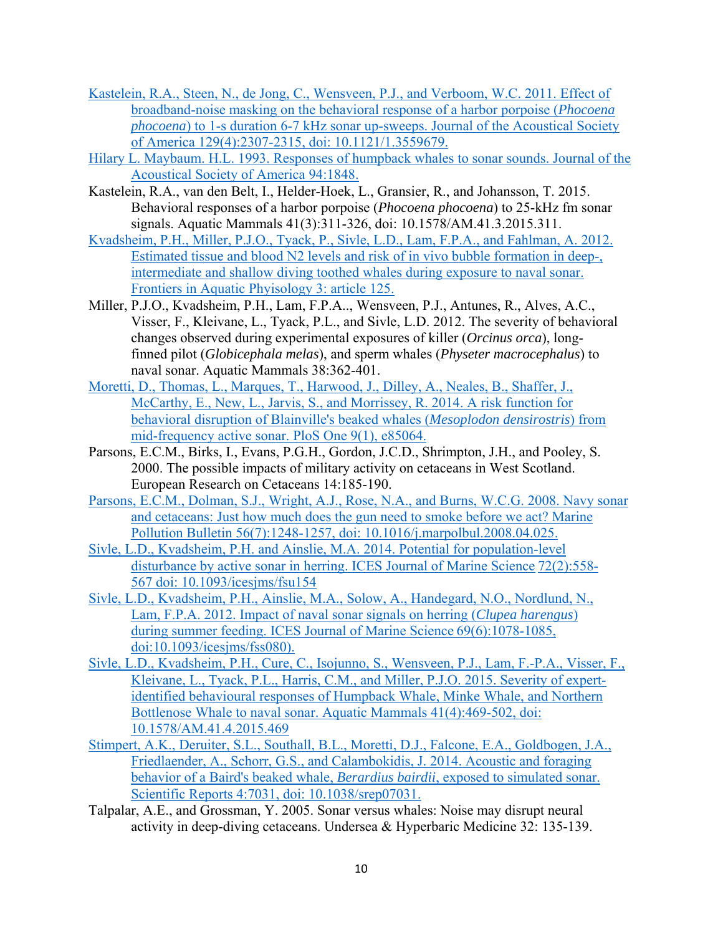- Kastelein, R.A., Steen, N., de Jong, C., Wensveen, P.J., and Verboom, W.C. 2011. Effect of broadband-noise masking on the behavioral response of a harbor porpoise (*Phocoena phocoena*) to 1-s duration 6-7 kHz sonar up-sweeps. Journal of the Acoustical Society of America 129(4):2307-2315, doi: 10.1121/1.3559679.
- Hilary L. Maybaum. H.L. 1993. Responses of humpback whales to sonar sounds. Journal of the Acoustical Society of America 94:1848.
- Kastelein, R.A., van den Belt, I., Helder-Hoek, L., Gransier, R., and Johansson, T. 2015. Behavioral responses of a harbor porpoise (*Phocoena phocoena*) to 25-kHz fm sonar signals. Aquatic Mammals 41(3):311-326, doi: 10.1578/AM.41.3.2015.311.
- Kvadsheim, P.H., Miller, P.J.O., Tyack, P., Sivle, L.D., Lam, F.P.A., and Fahlman, A. 2012. Estimated tissue and blood N2 levels and risk of in vivo bubble formation in deep-, intermediate and shallow diving toothed whales during exposure to naval sonar. Frontiers in Aquatic Phyisology 3: article 125.
- Miller, P.J.O., Kvadsheim, P.H., Lam, F.P.A.., Wensveen, P.J., Antunes, R., Alves, A.C., Visser, F., Kleivane, L., Tyack, P.L., and Sivle, L.D. 2012. The severity of behavioral changes observed during experimental exposures of killer (*Orcinus orca*), longfinned pilot (*Globicephala melas*), and sperm whales (*Physeter macrocephalus*) to naval sonar. Aquatic Mammals 38:362-401.
- Moretti, D., Thomas, L., Marques, T., Harwood, J., Dilley, A., Neales, B., Shaffer, J., McCarthy, E., New, L., Jarvis, S., and Morrissey, R. 2014. A risk function for behavioral disruption of Blainville's beaked whales (*Mesoplodon densirostris*) from mid-frequency active sonar. PloS One 9(1), e85064.
- Parsons, E.C.M., Birks, I., Evans, P.G.H., Gordon, J.C.D., Shrimpton, J.H., and Pooley, S. 2000. The possible impacts of military activity on cetaceans in West Scotland. European Research on Cetaceans 14:185-190.
- Parsons, E.C.M., Dolman, S.J., Wright, A.J., Rose, N.A., and Burns, W.C.G. 2008. Navy sonar and cetaceans: Just how much does the gun need to smoke before we act? Marine Pollution Bulletin 56(7):1248-1257, doi: 10.1016/j.marpolbul.2008.04.025.
- Sivle, L.D., Kvadsheim, P.H. and Ainslie, M.A. 2014. Potential for population-level disturbance by active sonar in herring. ICES Journal of Marine Science 72(2):558- 567 doi: 10.1093/icesjms/fsu154
- Sivle, L.D., Kvadsheim, P.H., Ainslie, M.A., Solow, A., Handegard, N.O., Nordlund, N., Lam, F.P.A. 2012. Impact of naval sonar signals on herring (*Clupea harengus*) during summer feeding. ICES Journal of Marine Science 69(6):1078-1085, doi:10.1093/icesjms/fss080).
- Sivle, L.D., Kvadsheim, P.H., Cure, C., Isojunno, S., Wensveen, P.J., Lam, F.-P.A., Visser, F., Kleivane, L., Tyack, P.L., Harris, C.M., and Miller, P.J.O. 2015. Severity of expertidentified behavioural responses of Humpback Whale, Minke Whale, and Northern Bottlenose Whale to naval sonar. Aquatic Mammals 41(4):469-502, doi: 10.1578/AM.41.4.2015.469
- Stimpert, A.K., Deruiter, S.L., Southall, B.L., Moretti, D.J., Falcone, E.A., Goldbogen, J.A., Friedlaender, A., Schorr, G.S., and Calambokidis, J. 2014. Acoustic and foraging behavior of a Baird's beaked whale, *Berardius bairdii*, exposed to simulated sonar. Scientific Reports 4:7031, doi: 10.1038/srep07031.
- Talpalar, A.E., and Grossman, Y. 2005. Sonar versus whales: Noise may disrupt neural activity in deep-diving cetaceans. Undersea & Hyperbaric Medicine 32: 135-139.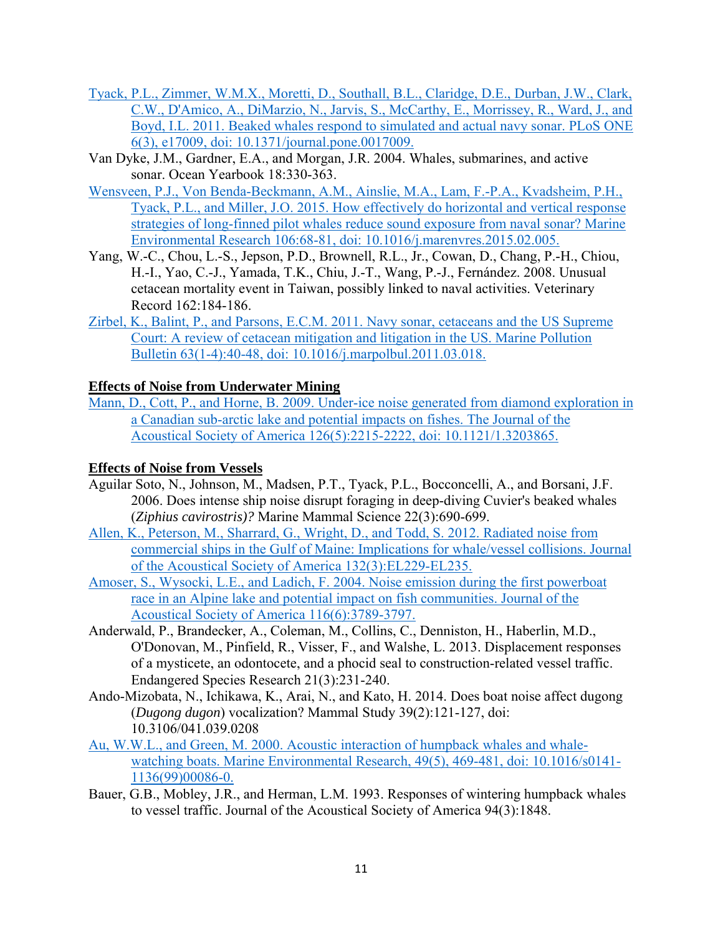- Tyack, P.L., Zimmer, W.M.X., Moretti, D., Southall, B.L., Claridge, D.E., Durban, J.W., Clark, C.W., D'Amico, A., DiMarzio, N., Jarvis, S., McCarthy, E., Morrissey, R., Ward, J., and Boyd, I.L. 2011. Beaked whales respond to simulated and actual navy sonar. PLoS ONE 6(3), e17009, doi: 10.1371/journal.pone.0017009.
- Van Dyke, J.M., Gardner, E.A., and Morgan, J.R. 2004. Whales, submarines, and active sonar. Ocean Yearbook 18:330-363.
- Wensveen, P.J., Von Benda-Beckmann, A.M., Ainslie, M.A., Lam, F.-P.A., Kvadsheim, P.H., Tyack, P.L., and Miller, J.O. 2015. How effectively do horizontal and vertical response strategies of long-finned pilot whales reduce sound exposure from naval sonar? Marine Environmental Research 106:68-81, doi: 10.1016/j.marenvres.2015.02.005.
- Yang, W.-C., Chou, L.-S., Jepson, P.D., Brownell, R.L., Jr., Cowan, D., Chang, P.-H., Chiou, H.-I., Yao, C.-J., Yamada, T.K., Chiu, J.-T., Wang, P.-J., Fernández. 2008. Unusual cetacean mortality event in Taiwan, possibly linked to naval activities. Veterinary Record 162:184-186.
- Zirbel, K., Balint, P., and Parsons, E.C.M. 2011. Navy sonar, cetaceans and the US Supreme Court: A review of cetacean mitigation and litigation in the US. Marine Pollution Bulletin 63(1-4):40-48, doi: 10.1016/j.marpolbul.2011.03.018.

## **Effects of Noise from Underwater Mining**

Mann, D., Cott, P., and Horne, B. 2009. Under-ice noise generated from diamond exploration in a Canadian sub-arctic lake and potential impacts on fishes. The Journal of the Acoustical Society of America 126(5):2215-2222, doi: 10.1121/1.3203865.

#### **Effects of Noise from Vessels**

- Aguilar Soto, N., Johnson, M., Madsen, P.T., Tyack, P.L., Bocconcelli, A., and Borsani, J.F. 2006. Does intense ship noise disrupt foraging in deep-diving Cuvier's beaked whales (*Ziphius cavirostris)?* Marine Mammal Science 22(3):690-699.
- Allen, K., Peterson, M., Sharrard, G., Wright, D., and Todd, S. 2012. Radiated noise from commercial ships in the Gulf of Maine: Implications for whale/vessel collisions. Journal of the Acoustical Society of America 132(3):EL229-EL235.
- Amoser, S., Wysocki, L.E., and Ladich, F. 2004. Noise emission during the first powerboat race in an Alpine lake and potential impact on fish communities. Journal of the Acoustical Society of America 116(6):3789-3797.
- Anderwald, P., Brandecker, A., Coleman, M., Collins, C., Denniston, H., Haberlin, M.D., O'Donovan, M., Pinfield, R., Visser, F., and Walshe, L. 2013. Displacement responses of a mysticete, an odontocete, and a phocid seal to construction-related vessel traffic. Endangered Species Research 21(3):231-240.
- Ando-Mizobata, N., Ichikawa, K., Arai, N., and Kato, H. 2014. Does boat noise affect dugong (*Dugong dugon*) vocalization? Mammal Study 39(2):121-127, doi: 10.3106/041.039.0208
- Au, W.W.L., and Green, M. 2000. Acoustic interaction of humpback whales and whalewatching boats. Marine Environmental Research, 49(5), 469-481, doi: 10.1016/s0141-1136(99)00086-0.
- Bauer, G.B., Mobley, J.R., and Herman, L.M. 1993. Responses of wintering humpback whales to vessel traffic. Journal of the Acoustical Society of America 94(3):1848.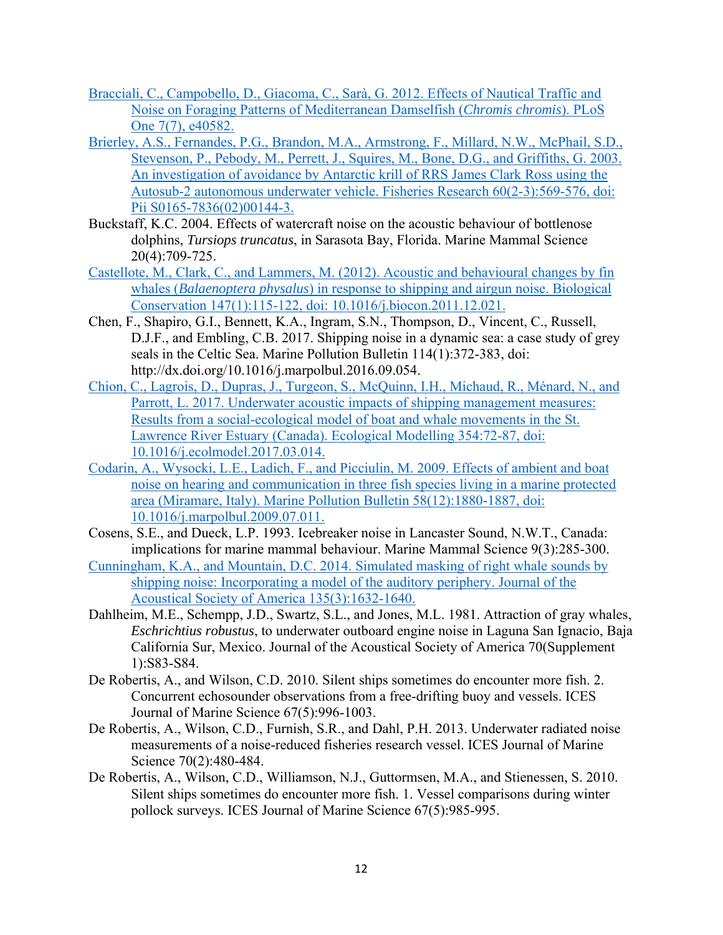- Bracciali, C., Campobello, D., Giacoma, C., Sarà, G. 2012. Effects of Nautical Traffic and Noise on Foraging Patterns of Mediterranean Damselfish (*Chromis chromis*). PLoS One 7(7), e40582.
- Brierley, A.S., Fernandes, P.G., Brandon, M.A., Armstrong, F., Millard, N.W., McPhail, S.D., Stevenson, P., Pebody, M., Perrett, J., Squires, M., Bone, D.G., and Griffiths, G. 2003. An investigation of avoidance by Antarctic krill of RRS James Clark Ross using the Autosub-2 autonomous underwater vehicle. Fisheries Research 60(2-3):569-576, doi: Pii S0165-7836(02)00144-3.
- Buckstaff, K.C. 2004. Effects of watercraft noise on the acoustic behaviour of bottlenose dolphins, *Tursiops truncatus*, in Sarasota Bay, Florida. Marine Mammal Science 20(4):709-725.
- Castellote, M., Clark, C., and Lammers, M. (2012). Acoustic and behavioural changes by fin whales (*Balaenoptera physalus*) in response to shipping and airgun noise. Biological Conservation 147(1):115-122, doi: 10.1016/j.biocon.2011.12.021.
- Chen, F., Shapiro, G.I., Bennett, K.A., Ingram, S.N., Thompson, D., Vincent, C., Russell, D.J.F., and Embling, C.B. 2017. Shipping noise in a dynamic sea: a case study of grey seals in the Celtic Sea. Marine Pollution Bulletin 114(1):372-383, doi: http://dx.doi.org/10.1016/j.marpolbul.2016.09.054.
- Chion, C., Lagrois, D., Dupras, J., Turgeon, S., McQuinn, I.H., Michaud, R., Ménard, N., and Parrott, L. 2017. Underwater acoustic impacts of shipping management measures: Results from a social-ecological model of boat and whale movements in the St. Lawrence River Estuary (Canada). Ecological Modelling 354:72-87, doi: 10.1016/j.ecolmodel.2017.03.014.
- Codarin, A., Wysocki, L.E., Ladich, F., and Picciulin, M. 2009. Effects of ambient and boat noise on hearing and communication in three fish species living in a marine protected area (Miramare, Italy). Marine Pollution Bulletin 58(12):1880-1887, doi: 10.1016/j.marpolbul.2009.07.011.
- Cosens, S.E., and Dueck, L.P. 1993. Icebreaker noise in Lancaster Sound, N.W.T., Canada: implications for marine mammal behaviour. Marine Mammal Science 9(3):285-300.
- Cunningham, K.A., and Mountain, D.C. 2014. Simulated masking of right whale sounds by shipping noise: Incorporating a model of the auditory periphery. Journal of the Acoustical Society of America 135(3):1632-1640.
- Dahlheim, M.E., Schempp, J.D., Swartz, S.L., and Jones, M.L. 1981. Attraction of gray whales, *Eschrichtius robustus*, to underwater outboard engine noise in Laguna San Ignacio, Baja California Sur, Mexico. Journal of the Acoustical Society of America 70(Supplement 1):S83-S84.
- De Robertis, A., and Wilson, C.D. 2010. Silent ships sometimes do encounter more fish. 2. Concurrent echosounder observations from a free-drifting buoy and vessels. ICES Journal of Marine Science 67(5):996-1003.
- De Robertis, A., Wilson, C.D., Furnish, S.R., and Dahl, P.H. 2013. Underwater radiated noise measurements of a noise-reduced fisheries research vessel. ICES Journal of Marine Science 70(2):480-484.
- De Robertis, A., Wilson, C.D., Williamson, N.J., Guttormsen, M.A., and Stienessen, S. 2010. Silent ships sometimes do encounter more fish. 1. Vessel comparisons during winter pollock surveys. ICES Journal of Marine Science 67(5):985-995.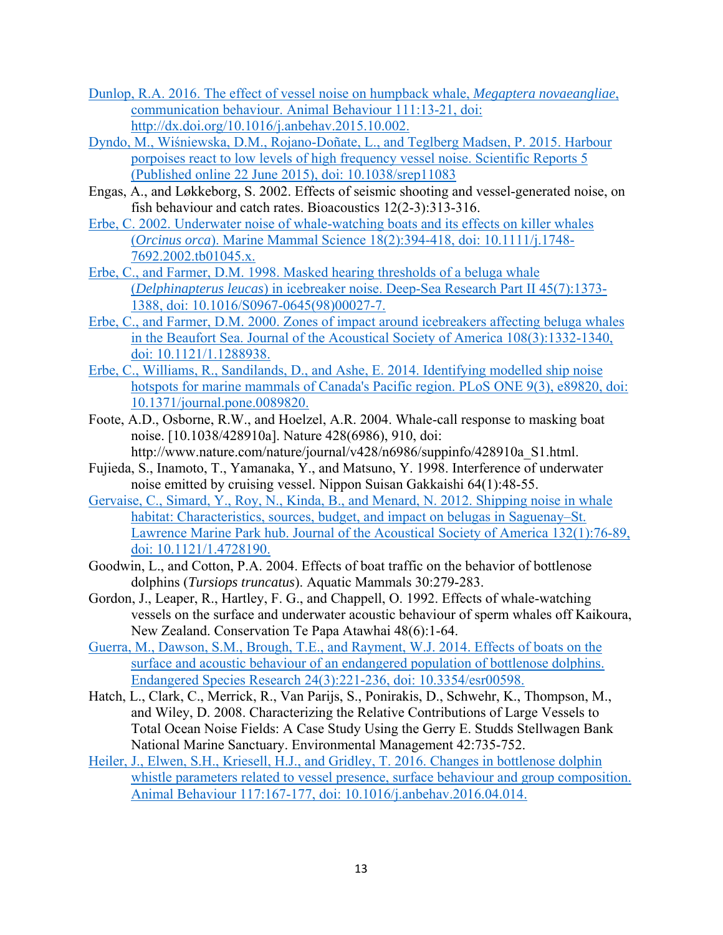- Dunlop, R.A. 2016. The effect of vessel noise on humpback whale, *Megaptera novaeangliae*, communication behaviour. Animal Behaviour 111:13-21, doi: http://dx.doi.org/10.1016/j.anbehav.2015.10.002.
- Dyndo, M., Wiśniewska, D.M., Rojano-Doñate, L., and Teglberg Madsen, P. 2015. Harbour porpoises react to low levels of high frequency vessel noise. Scientific Reports 5 (Published online 22 June 2015), doi: 10.1038/srep11083
- Engas, A., and Løkkeborg, S. 2002. Effects of seismic shooting and vessel-generated noise, on fish behaviour and catch rates. Bioacoustics 12(2-3):313-316.
- Erbe, C. 2002. Underwater noise of whale-watching boats and its effects on killer whales (*Orcinus orca*). Marine Mammal Science 18(2):394-418, doi: 10.1111/j.1748- 7692.2002.tb01045.x.
- Erbe, C., and Farmer, D.M. 1998. Masked hearing thresholds of a beluga whale (*Delphinapterus leucas*) in icebreaker noise. Deep-Sea Research Part II 45(7):1373- 1388, doi: 10.1016/S0967-0645(98)00027-7.
- Erbe, C., and Farmer, D.M. 2000. Zones of impact around icebreakers affecting beluga whales in the Beaufort Sea. Journal of the Acoustical Society of America 108(3):1332-1340, doi: 10.1121/1.1288938.
- Erbe, C., Williams, R., Sandilands, D., and Ashe, E. 2014. Identifying modelled ship noise hotspots for marine mammals of Canada's Pacific region. PLoS ONE 9(3), e89820, doi: 10.1371/journal.pone.0089820.
- Foote, A.D., Osborne, R.W., and Hoelzel, A.R. 2004. Whale-call response to masking boat noise. [10.1038/428910a]. Nature 428(6986), 910, doi:
- http://www.nature.com/nature/journal/v428/n6986/suppinfo/428910a\_S1.html. Fujieda, S., Inamoto, T., Yamanaka, Y., and Matsuno, Y. 1998. Interference of underwater
- noise emitted by cruising vessel. Nippon Suisan Gakkaishi 64(1):48-55.
- Gervaise, C., Simard, Y., Roy, N., Kinda, B., and Menard, N. 2012. Shipping noise in whale habitat: Characteristics, sources, budget, and impact on belugas in Saguenay–St. Lawrence Marine Park hub. Journal of the Acoustical Society of America 132(1):76-89, doi: 10.1121/1.4728190.
- Goodwin, L., and Cotton, P.A. 2004. Effects of boat traffic on the behavior of bottlenose dolphins (*Tursiops truncatus*). Aquatic Mammals 30:279-283.
- Gordon, J., Leaper, R., Hartley, F. G., and Chappell, O. 1992. Effects of whale-watching vessels on the surface and underwater acoustic behaviour of sperm whales off Kaikoura, New Zealand. Conservation Te Papa Atawhai 48(6):1-64.
- Guerra, M., Dawson, S.M., Brough, T.E., and Rayment, W.J. 2014. Effects of boats on the surface and acoustic behaviour of an endangered population of bottlenose dolphins. Endangered Species Research 24(3):221-236, doi: 10.3354/esr00598.
- Hatch, L., Clark, C., Merrick, R., Van Parijs, S., Ponirakis, D., Schwehr, K., Thompson, M., and Wiley, D. 2008. Characterizing the Relative Contributions of Large Vessels to Total Ocean Noise Fields: A Case Study Using the Gerry E. Studds Stellwagen Bank National Marine Sanctuary. Environmental Management 42:735-752.
- Heiler, J., Elwen, S.H., Kriesell, H.J., and Gridley, T. 2016. Changes in bottlenose dolphin whistle parameters related to vessel presence, surface behaviour and group composition. Animal Behaviour 117:167-177, doi: 10.1016/j.anbehav.2016.04.014.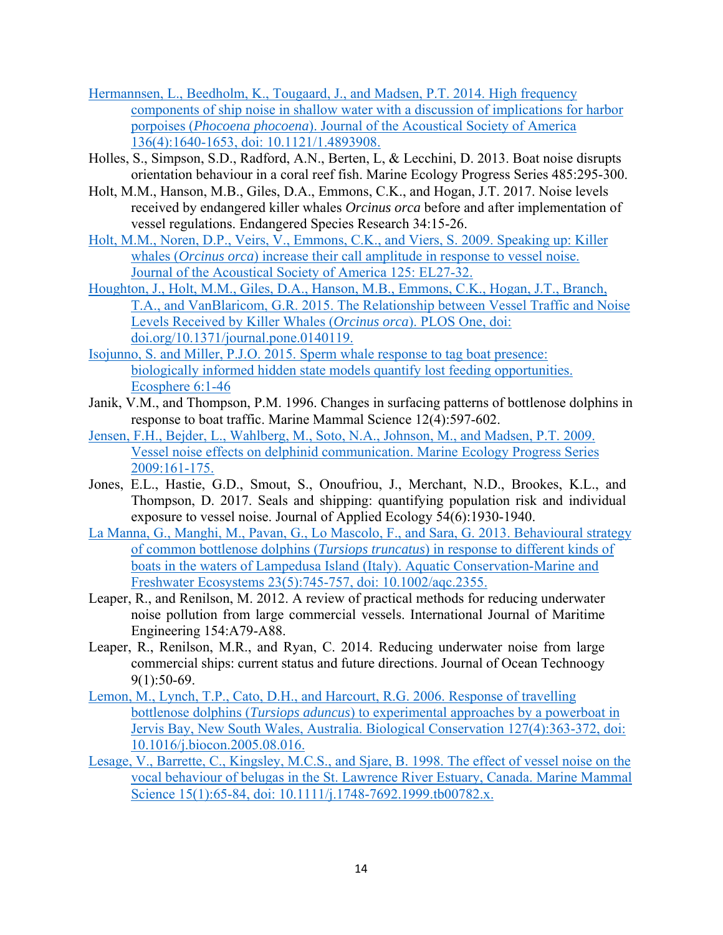- Hermannsen, L., Beedholm, K., Tougaard, J., and Madsen, P.T. 2014. High frequency components of ship noise in shallow water with a discussion of implications for harbor porpoises (*Phocoena phocoena*). Journal of the Acoustical Society of America 136(4):1640-1653, doi: 10.1121/1.4893908.
- Holles, S., Simpson, S.D., Radford, A.N., Berten, L, & Lecchini, D. 2013. Boat noise disrupts orientation behaviour in a coral reef fish. Marine Ecology Progress Series 485:295-300.
- Holt, M.M., Hanson, M.B., Giles, D.A., Emmons, C.K., and Hogan, J.T. 2017. Noise levels received by endangered killer whales *Orcinus orca* before and after implementation of vessel regulations. Endangered Species Research 34:15-26.
- Holt, M.M., Noren, D.P., Veirs, V., Emmons, C.K., and Viers, S. 2009. Speaking up: Killer whales (*Orcinus orca*) increase their call amplitude in response to vessel noise. Journal of the Acoustical Society of America 125: EL27-32.
- Houghton, J., Holt, M.M., Giles, D.A., Hanson, M.B., Emmons, C.K., Hogan, J.T., Branch, T.A., and VanBlaricom, G.R. 2015. The Relationship between Vessel Traffic and Noise Levels Received by Killer Whales (*Orcinus orca*). PLOS One, doi: doi.org/10.1371/journal.pone.0140119.
- Isojunno, S. and Miller, P.J.O. 2015. Sperm whale response to tag boat presence: biologically informed hidden state models quantify lost feeding opportunities. Ecosphere 6:1-46
- Janik, V.M., and Thompson, P.M. 1996. Changes in surfacing patterns of bottlenose dolphins in response to boat traffic. Marine Mammal Science 12(4):597-602.
- Jensen, F.H., Bejder, L., Wahlberg, M., Soto, N.A., Johnson, M., and Madsen, P.T. 2009. Vessel noise effects on delphinid communication. Marine Ecology Progress Series 2009:161-175.
- Jones, E.L., Hastie, G.D., Smout, S., Onoufriou, J., Merchant, N.D., Brookes, K.L., and Thompson, D. 2017. Seals and shipping: quantifying population risk and individual exposure to vessel noise. Journal of Applied Ecology 54(6):1930-1940.
- La Manna, G., Manghi, M., Pavan, G., Lo Mascolo, F., and Sara, G. 2013. Behavioural strategy of common bottlenose dolphins (*Tursiops truncatus*) in response to different kinds of boats in the waters of Lampedusa Island (Italy). Aquatic Conservation-Marine and Freshwater Ecosystems 23(5):745-757, doi: 10.1002/aqc.2355.
- Leaper, R., and Renilson, M. 2012. A review of practical methods for reducing underwater noise pollution from large commercial vessels. International Journal of Maritime Engineering 154:A79-A88.
- Leaper, R., Renilson, M.R., and Ryan, C. 2014. Reducing underwater noise from large commercial ships: current status and future directions. Journal of Ocean Technoogy 9(1):50-69.
- Lemon, M., Lynch, T.P., Cato, D.H., and Harcourt, R.G. 2006. Response of travelling bottlenose dolphins (*Tursiops aduncus*) to experimental approaches by a powerboat in Jervis Bay, New South Wales, Australia. Biological Conservation 127(4):363-372, doi: 10.1016/j.biocon.2005.08.016.
- Lesage, V., Barrette, C., Kingsley, M.C.S., and Sjare, B. 1998. The effect of vessel noise on the vocal behaviour of belugas in the St. Lawrence River Estuary, Canada. Marine Mammal Science 15(1):65-84, doi: 10.1111/j.1748-7692.1999.tb00782.x.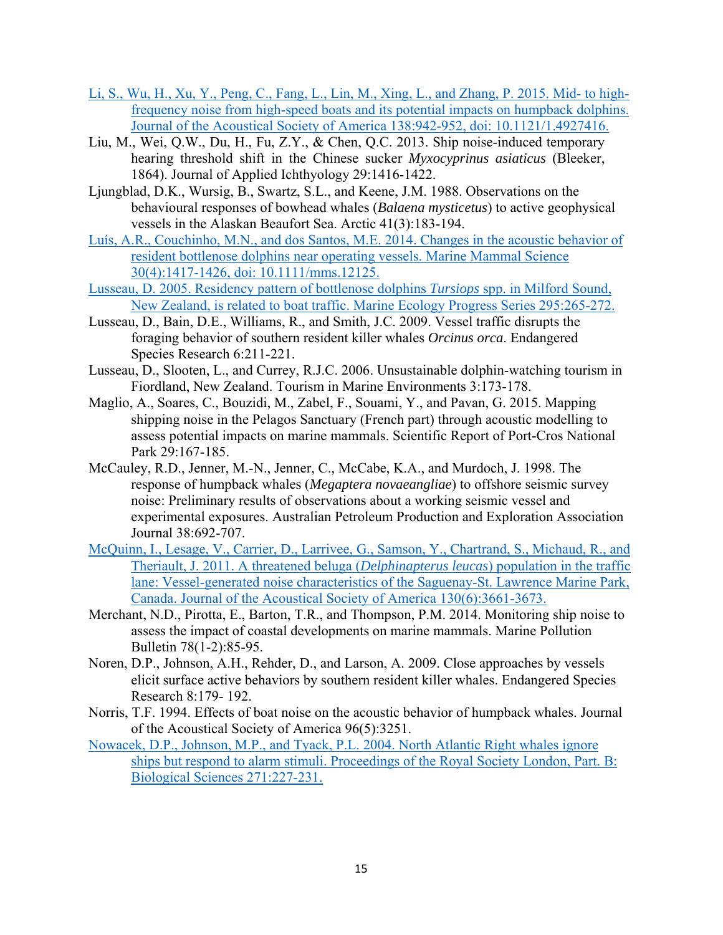- Li, S., Wu, H., Xu, Y., Peng, C., Fang, L., Lin, M., Xing, L., and Zhang, P. 2015. Mid- to highfrequency noise from high-speed boats and its potential impacts on humpback dolphins. Journal of the Acoustical Society of America 138:942-952, doi: 10.1121/1.4927416.
- Liu, M., Wei, Q.W., Du, H., Fu, Z.Y., & Chen, Q.C. 2013. Ship noise-induced temporary hearing threshold shift in the Chinese sucker *Myxocyprinus asiaticus* (Bleeker, 1864). Journal of Applied Ichthyology 29:1416-1422.
- Ljungblad, D.K., Wursig, B., Swartz, S.L., and Keene, J.M. 1988. Observations on the behavioural responses of bowhead whales (*Balaena mysticetus*) to active geophysical vessels in the Alaskan Beaufort Sea. Arctic 41(3):183-194.
- Luís, A.R., Couchinho, M.N., and dos Santos, M.E. 2014. Changes in the acoustic behavior of resident bottlenose dolphins near operating vessels. Marine Mammal Science 30(4):1417-1426, doi: 10.1111/mms.12125.
- Lusseau, D. 2005. Residency pattern of bottlenose dolphins *Tursiops* spp. in Milford Sound, New Zealand, is related to boat traffic. Marine Ecology Progress Series 295:265-272.
- Lusseau, D., Bain, D.E., Williams, R., and Smith, J.C. 2009. Vessel traffic disrupts the foraging behavior of southern resident killer whales *Orcinus orca*. Endangered Species Research 6:211-221.
- Lusseau, D., Slooten, L., and Currey, R.J.C. 2006. Unsustainable dolphin-watching tourism in Fiordland, New Zealand. Tourism in Marine Environments 3:173-178.
- Maglio, A., Soares, C., Bouzidi, M., Zabel, F., Souami, Y., and Pavan, G. 2015. Mapping shipping noise in the Pelagos Sanctuary (French part) through acoustic modelling to assess potential impacts on marine mammals. Scientific Report of Port-Cros National Park 29:167-185.
- McCauley, R.D., Jenner, M.-N., Jenner, C., McCabe, K.A., and Murdoch, J. 1998. The response of humpback whales (*Megaptera novaeangliae*) to offshore seismic survey noise: Preliminary results of observations about a working seismic vessel and experimental exposures. Australian Petroleum Production and Exploration Association Journal 38:692-707.
- McQuinn, I., Lesage, V., Carrier, D., Larrivee, G., Samson, Y., Chartrand, S., Michaud, R., and Theriault, J. 2011. A threatened beluga (*Delphinapterus leucas*) population in the traffic lane: Vessel-generated noise characteristics of the Saguenay-St. Lawrence Marine Park, Canada. Journal of the Acoustical Society of America 130(6):3661-3673.
- Merchant, N.D., Pirotta, E., Barton, T.R., and Thompson, P.M. 2014. Monitoring ship noise to assess the impact of coastal developments on marine mammals. Marine Pollution Bulletin 78(1-2):85-95.
- Noren, D.P., Johnson, A.H., Rehder, D., and Larson, A. 2009. Close approaches by vessels elicit surface active behaviors by southern resident killer whales. Endangered Species Research 8:179- 192.
- Norris, T.F. 1994. Effects of boat noise on the acoustic behavior of humpback whales. Journal of the Acoustical Society of America 96(5):3251.
- Nowacek, D.P., Johnson, M.P., and Tyack, P.L. 2004. North Atlantic Right whales ignore ships but respond to alarm stimuli. Proceedings of the Royal Society London, Part. B: Biological Sciences 271:227-231.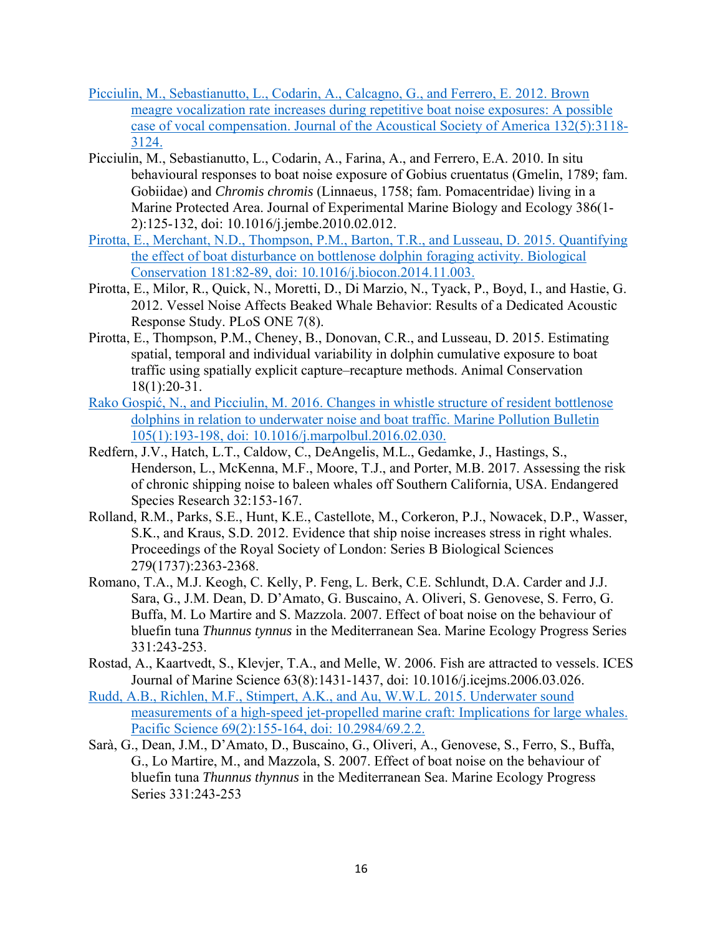- Picciulin, M., Sebastianutto, L., Codarin, A., Calcagno, G., and Ferrero, E. 2012. Brown meagre vocalization rate increases during repetitive boat noise exposures: A possible case of vocal compensation. Journal of the Acoustical Society of America 132(5):3118- 3124.
- Picciulin, M., Sebastianutto, L., Codarin, A., Farina, A., and Ferrero, E.A. 2010. In situ behavioural responses to boat noise exposure of Gobius cruentatus (Gmelin, 1789; fam. Gobiidae) and *Chromis chromis* (Linnaeus, 1758; fam. Pomacentridae) living in a Marine Protected Area. Journal of Experimental Marine Biology and Ecology 386(1- 2):125-132, doi: 10.1016/j.jembe.2010.02.012.
- Pirotta, E., Merchant, N.D., Thompson, P.M., Barton, T.R., and Lusseau, D. 2015. Quantifying the effect of boat disturbance on bottlenose dolphin foraging activity. Biological Conservation 181:82-89, doi: 10.1016/j.biocon.2014.11.003.
- Pirotta, E., Milor, R., Quick, N., Moretti, D., Di Marzio, N., Tyack, P., Boyd, I., and Hastie, G. 2012. Vessel Noise Affects Beaked Whale Behavior: Results of a Dedicated Acoustic Response Study. PLoS ONE 7(8).
- Pirotta, E., Thompson, P.M., Cheney, B., Donovan, C.R., and Lusseau, D. 2015. Estimating spatial, temporal and individual variability in dolphin cumulative exposure to boat traffic using spatially explicit capture–recapture methods. Animal Conservation 18(1):20-31.
- Rako Gospić, N., and Picciulin, M. 2016. Changes in whistle structure of resident bottlenose dolphins in relation to underwater noise and boat traffic. Marine Pollution Bulletin 105(1):193-198, doi: 10.1016/j.marpolbul.2016.02.030.
- Redfern, J.V., Hatch, L.T., Caldow, C., DeAngelis, M.L., Gedamke, J., Hastings, S., Henderson, L., McKenna, M.F., Moore, T.J., and Porter, M.B. 2017. Assessing the risk of chronic shipping noise to baleen whales off Southern California, USA. Endangered Species Research 32:153-167.
- Rolland, R.M., Parks, S.E., Hunt, K.E., Castellote, M., Corkeron, P.J., Nowacek, D.P., Wasser, S.K., and Kraus, S.D. 2012. Evidence that ship noise increases stress in right whales. Proceedings of the Royal Society of London: Series B Biological Sciences 279(1737):2363-2368.
- Romano, T.A., M.J. Keogh, C. Kelly, P. Feng, L. Berk, C.E. Schlundt, D.A. Carder and J.J. Sara, G., J.M. Dean, D. D'Amato, G. Buscaino, A. Oliveri, S. Genovese, S. Ferro, G. Buffa, M. Lo Martire and S. Mazzola. 2007. Effect of boat noise on the behaviour of bluefin tuna *Thunnus tynnus* in the Mediterranean Sea. Marine Ecology Progress Series 331:243-253.
- Rostad, A., Kaartvedt, S., Klevjer, T.A., and Melle, W. 2006. Fish are attracted to vessels. ICES Journal of Marine Science 63(8):1431-1437, doi: 10.1016/j.icejms.2006.03.026.
- Rudd, A.B., Richlen, M.F., Stimpert, A.K., and Au, W.W.L. 2015. Underwater sound measurements of a high-speed jet-propelled marine craft: Implications for large whales. Pacific Science 69(2):155-164, doi: 10.2984/69.2.2.
- Sarà, G., Dean, J.M., D'Amato, D., Buscaino, G., Oliveri, A., Genovese, S., Ferro, S., Buffa, G., Lo Martire, M., and Mazzola, S. 2007. Effect of boat noise on the behaviour of bluefin tuna *Thunnus thynnus* in the Mediterranean Sea. Marine Ecology Progress Series 331:243-253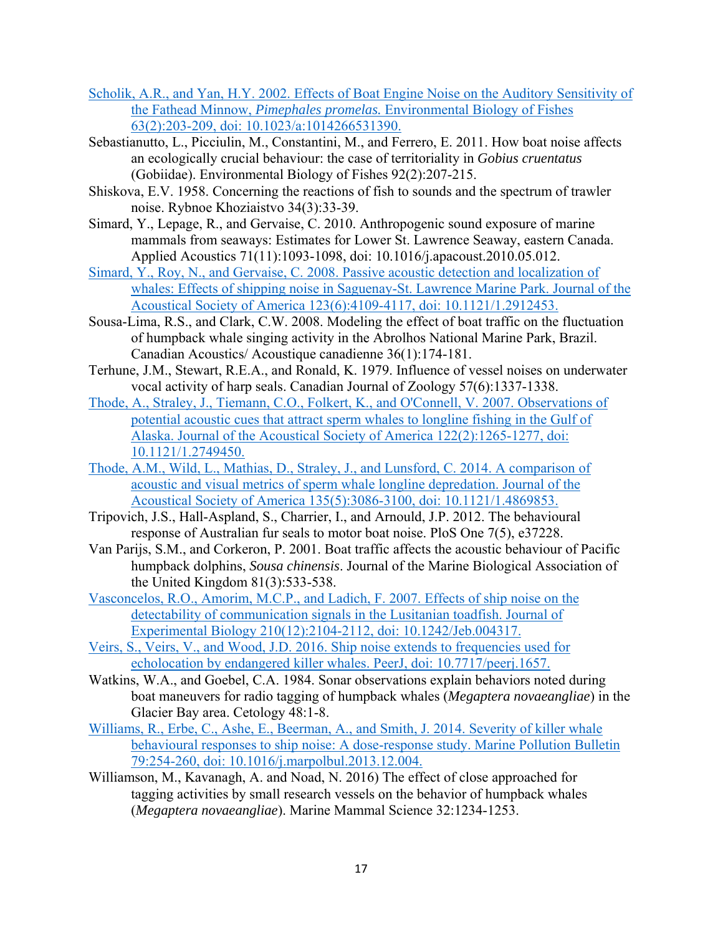- Scholik, A.R., and Yan, H.Y. 2002. Effects of Boat Engine Noise on the Auditory Sensitivity of the Fathead Minnow, *Pimephales promelas.* Environmental Biology of Fishes 63(2):203-209, doi: 10.1023/a:1014266531390.
- Sebastianutto, L., Picciulin, M., Constantini, M., and Ferrero, E. 2011. How boat noise affects an ecologically crucial behaviour: the case of territoriality in *Gobius cruentatus* (Gobiidae). Environmental Biology of Fishes 92(2):207-215.
- Shiskova, E.V. 1958. Concerning the reactions of fish to sounds and the spectrum of trawler noise. Rybnoe Khoziaistvo 34(3):33-39.
- Simard, Y., Lepage, R., and Gervaise, C. 2010. Anthropogenic sound exposure of marine mammals from seaways: Estimates for Lower St. Lawrence Seaway, eastern Canada. Applied Acoustics 71(11):1093-1098, doi: 10.1016/j.apacoust.2010.05.012.
- Simard, Y., Roy, N., and Gervaise, C. 2008. Passive acoustic detection and localization of whales: Effects of shipping noise in Saguenay-St. Lawrence Marine Park. Journal of the Acoustical Society of America 123(6):4109-4117, doi: 10.1121/1.2912453.
- Sousa-Lima, R.S., and Clark, C.W. 2008. Modeling the effect of boat traffic on the fluctuation of humpback whale singing activity in the Abrolhos National Marine Park, Brazil. Canadian Acoustics/ Acoustique canadienne 36(1):174-181.
- Terhune, J.M., Stewart, R.E.A., and Ronald, K. 1979. Influence of vessel noises on underwater vocal activity of harp seals. Canadian Journal of Zoology 57(6):1337-1338.
- Thode, A., Straley, J., Tiemann, C.O., Folkert, K., and O'Connell, V. 2007. Observations of potential acoustic cues that attract sperm whales to longline fishing in the Gulf of Alaska. Journal of the Acoustical Society of America 122(2):1265-1277, doi: 10.1121/1.2749450.
- Thode, A.M., Wild, L., Mathias, D., Straley, J., and Lunsford, C. 2014. A comparison of acoustic and visual metrics of sperm whale longline depredation. Journal of the Acoustical Society of America 135(5):3086-3100, doi: 10.1121/1.4869853.
- Tripovich, J.S., Hall-Aspland, S., Charrier, I., and Arnould, J.P. 2012. The behavioural response of Australian fur seals to motor boat noise. PloS One 7(5), e37228.
- Van Parijs, S.M., and Corkeron, P. 2001. Boat traffic affects the acoustic behaviour of Pacific humpback dolphins, *Sousa chinensis*. Journal of the Marine Biological Association of the United Kingdom 81(3):533-538.
- Vasconcelos, R.O., Amorim, M.C.P., and Ladich, F. 2007. Effects of ship noise on the detectability of communication signals in the Lusitanian toadfish. Journal of Experimental Biology 210(12):2104-2112, doi: 10.1242/Jeb.004317.
- Veirs, S., Veirs, V., and Wood, J.D. 2016. Ship noise extends to frequencies used for echolocation by endangered killer whales. PeerJ, doi: 10.7717/peerj.1657.
- Watkins, W.A., and Goebel, C.A. 1984. Sonar observations explain behaviors noted during boat maneuvers for radio tagging of humpback whales (*Megaptera novaeangliae*) in the Glacier Bay area. Cetology 48:1-8.
- Williams, R., Erbe, C., Ashe, E., Beerman, A., and Smith, J. 2014. Severity of killer whale behavioural responses to ship noise: A dose-response study. Marine Pollution Bulletin 79:254-260, doi: 10.1016/j.marpolbul.2013.12.004.
- Williamson, M., Kavanagh, A. and Noad, N. 2016) The effect of close approached for tagging activities by small research vessels on the behavior of humpback whales (*Megaptera novaeangliae*). Marine Mammal Science 32:1234-1253.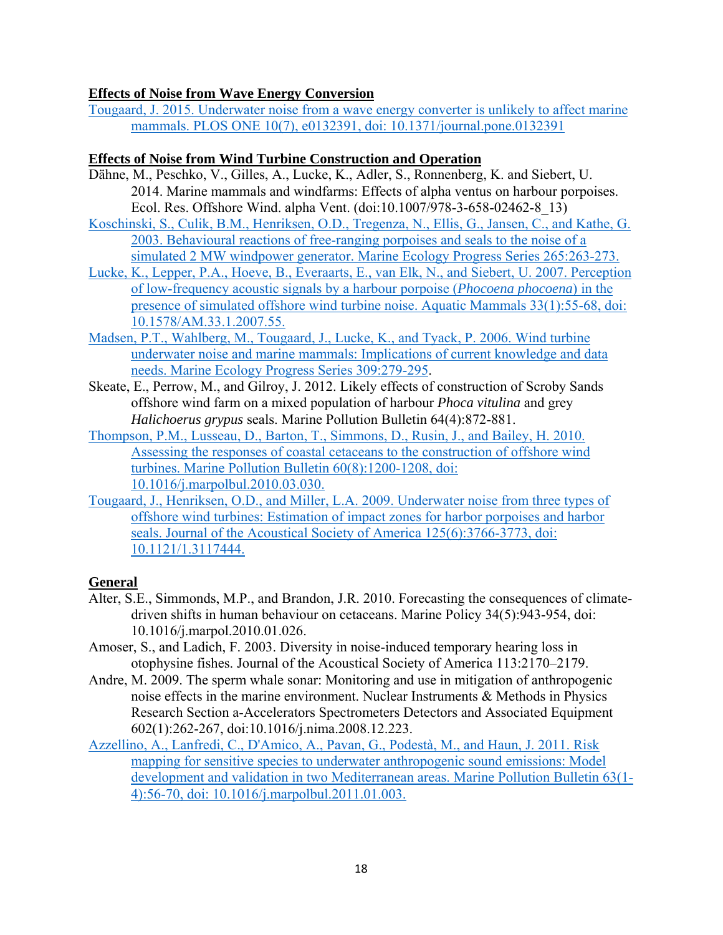#### **Effects of Noise from Wave Energy Conversion**

Tougaard, J. 2015. Underwater noise from a wave energy converter is unlikely to affect marine mammals. PLOS ONE 10(7), e0132391, doi: 10.1371/journal.pone.0132391

#### **Effects of Noise from Wind Turbine Construction and Operation**

- Dähne, M., Peschko, V., Gilles, A., Lucke, K., Adler, S., Ronnenberg, K. and Siebert, U. 2014. Marine mammals and windfarms: Effects of alpha ventus on harbour porpoises. Ecol. Res. Offshore Wind. alpha Vent. (doi:10.1007/978-3-658-02462-8\_13)
- Koschinski, S., Culik, B.M., Henriksen, O.D., Tregenza, N., Ellis, G., Jansen, C., and Kathe, G. 2003. Behavioural reactions of free-ranging porpoises and seals to the noise of a simulated 2 MW windpower generator. Marine Ecology Progress Series 265:263-273.
- Lucke, K., Lepper, P.A., Hoeve, B., Everaarts, E., van Elk, N., and Siebert, U. 2007. Perception of low-frequency acoustic signals by a harbour porpoise (*Phocoena phocoena*) in the presence of simulated offshore wind turbine noise. Aquatic Mammals 33(1):55-68, doi: 10.1578/AM.33.1.2007.55.
- Madsen, P.T., Wahlberg, M., Tougaard, J., Lucke, K., and Tyack, P. 2006. Wind turbine underwater noise and marine mammals: Implications of current knowledge and data needs. Marine Ecology Progress Series 309:279-295.
- Skeate, E., Perrow, M., and Gilroy, J. 2012. Likely effects of construction of Scroby Sands offshore wind farm on a mixed population of harbour *Phoca vitulina* and grey *Halichoerus grypus* seals. Marine Pollution Bulletin 64(4):872-881.
- Thompson, P.M., Lusseau, D., Barton, T., Simmons, D., Rusin, J., and Bailey, H. 2010. Assessing the responses of coastal cetaceans to the construction of offshore wind turbines. Marine Pollution Bulletin 60(8):1200-1208, doi: 10.1016/j.marpolbul.2010.03.030.
- Tougaard, J., Henriksen, O.D., and Miller, L.A. 2009. Underwater noise from three types of offshore wind turbines: Estimation of impact zones for harbor porpoises and harbor seals. Journal of the Acoustical Society of America 125(6):3766-3773, doi: 10.1121/1.3117444.

## **General**

- Alter, S.E., Simmonds, M.P., and Brandon, J.R. 2010. Forecasting the consequences of climatedriven shifts in human behaviour on cetaceans. Marine Policy 34(5):943-954, doi: 10.1016/j.marpol.2010.01.026.
- Amoser, S., and Ladich, F. 2003. Diversity in noise-induced temporary hearing loss in otophysine fishes. Journal of the Acoustical Society of America 113:2170–2179.
- Andre, M. 2009. The sperm whale sonar: Monitoring and use in mitigation of anthropogenic noise effects in the marine environment. Nuclear Instruments & Methods in Physics Research Section a-Accelerators Spectrometers Detectors and Associated Equipment 602(1):262-267, doi:10.1016/j.nima.2008.12.223.
- Azzellino, A., Lanfredi, C., D'Amico, A., Pavan, G., Podestà, M., and Haun, J. 2011. Risk mapping for sensitive species to underwater anthropogenic sound emissions: Model development and validation in two Mediterranean areas. Marine Pollution Bulletin 63(1- 4):56-70, doi: 10.1016/j.marpolbul.2011.01.003.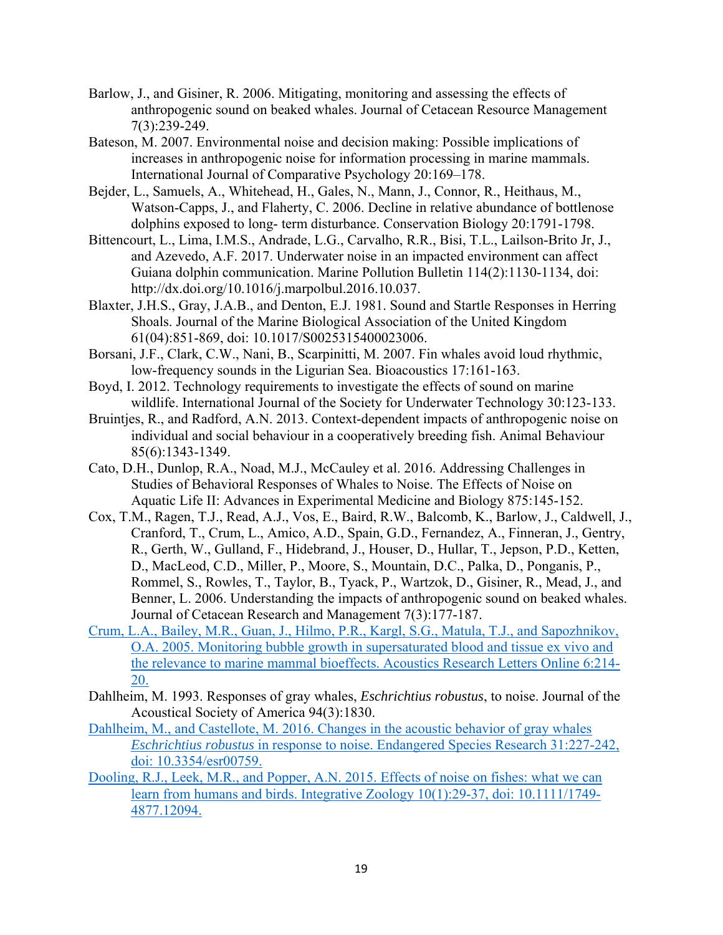- Barlow, J., and Gisiner, R. 2006. Mitigating, monitoring and assessing the effects of anthropogenic sound on beaked whales. Journal of Cetacean Resource Management 7(3):239-249.
- Bateson, M. 2007. Environmental noise and decision making: Possible implications of increases in anthropogenic noise for information processing in marine mammals. International Journal of Comparative Psychology 20:169–178.
- Bejder, L., Samuels, A., Whitehead, H., Gales, N., Mann, J., Connor, R., Heithaus, M., Watson-Capps, J., and Flaherty, C. 2006. Decline in relative abundance of bottlenose dolphins exposed to long- term disturbance. Conservation Biology 20:1791-1798.
- Bittencourt, L., Lima, I.M.S., Andrade, L.G., Carvalho, R.R., Bisi, T.L., Lailson-Brito Jr, J., and Azevedo, A.F. 2017. Underwater noise in an impacted environment can affect Guiana dolphin communication. Marine Pollution Bulletin 114(2):1130-1134, doi: http://dx.doi.org/10.1016/j.marpolbul.2016.10.037.
- Blaxter, J.H.S., Gray, J.A.B., and Denton, E.J. 1981. Sound and Startle Responses in Herring Shoals. Journal of the Marine Biological Association of the United Kingdom 61(04):851-869, doi: 10.1017/S0025315400023006.
- Borsani, J.F., Clark, C.W., Nani, B., Scarpinitti, M. 2007. Fin whales avoid loud rhythmic, low-frequency sounds in the Ligurian Sea. Bioacoustics 17:161-163.
- Boyd, I. 2012. Technology requirements to investigate the effects of sound on marine wildlife. International Journal of the Society for Underwater Technology 30:123-133.
- Bruintjes, R., and Radford, A.N. 2013. Context-dependent impacts of anthropogenic noise on individual and social behaviour in a cooperatively breeding fish. Animal Behaviour 85(6):1343-1349.
- Cato, D.H., Dunlop, R.A., Noad, M.J., McCauley et al. 2016. Addressing Challenges in Studies of Behavioral Responses of Whales to Noise. The Effects of Noise on Aquatic Life II: Advances in Experimental Medicine and Biology 875:145-152.
- Cox, T.M., Ragen, T.J., Read, A.J., Vos, E., Baird, R.W., Balcomb, K., Barlow, J., Caldwell, J., Cranford, T., Crum, L., Amico, A.D., Spain, G.D., Fernandez, A., Finneran, J., Gentry, R., Gerth, W., Gulland, F., Hidebrand, J., Houser, D., Hullar, T., Jepson, P.D., Ketten, D., MacLeod, C.D., Miller, P., Moore, S., Mountain, D.C., Palka, D., Ponganis, P., Rommel, S., Rowles, T., Taylor, B., Tyack, P., Wartzok, D., Gisiner, R., Mead, J., and Benner, L. 2006. Understanding the impacts of anthropogenic sound on beaked whales. Journal of Cetacean Research and Management 7(3):177-187.
- Crum, L.A., Bailey, M.R., Guan, J., Hilmo, P.R., Kargl, S.G., Matula, T.J., and Sapozhnikov, O.A. 2005. Monitoring bubble growth in supersaturated blood and tissue ex vivo and the relevance to marine mammal bioeffects. Acoustics Research Letters Online 6:214- 20.
- Dahlheim, M. 1993. Responses of gray whales, *Eschrichtius robustus*, to noise. Journal of the Acoustical Society of America 94(3):1830.
- Dahlheim, M., and Castellote, M. 2016. Changes in the acoustic behavior of gray whales *Eschrichtius robustus* in response to noise. Endangered Species Research 31:227-242, doi: 10.3354/esr00759.
- Dooling, R.J., Leek, M.R., and Popper, A.N. 2015. Effects of noise on fishes: what we can learn from humans and birds. Integrative Zoology 10(1):29-37, doi: 10.1111/1749- 4877.12094.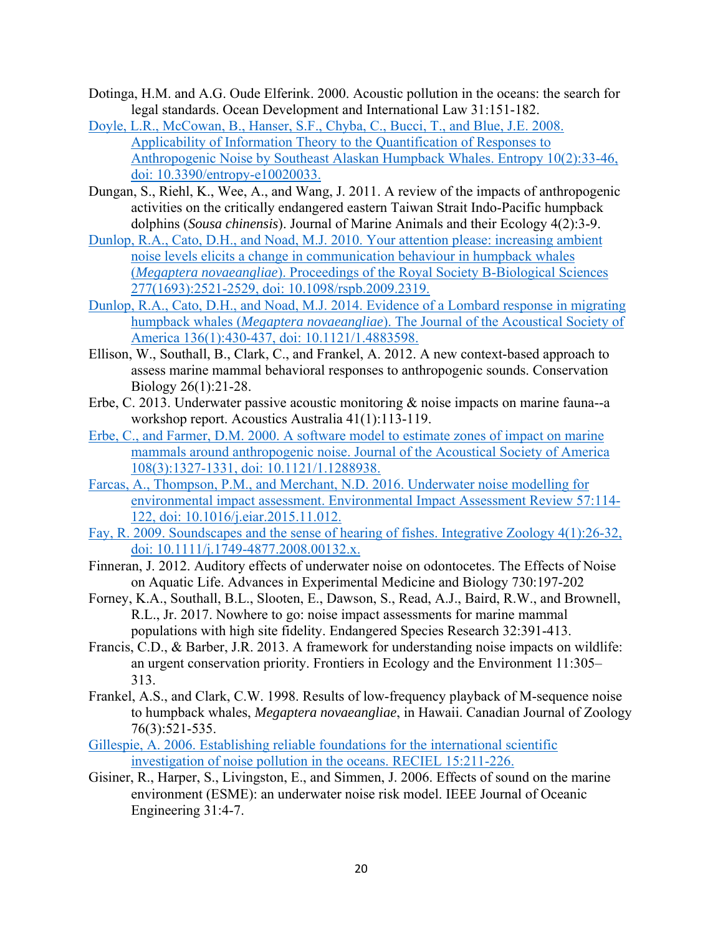- Dotinga, H.M. and A.G. Oude Elferink. 2000. Acoustic pollution in the oceans: the search for legal standards. Ocean Development and International Law 31:151-182.
- Doyle, L.R., McCowan, B., Hanser, S.F., Chyba, C., Bucci, T., and Blue, J.E. 2008. Applicability of Information Theory to the Quantification of Responses to Anthropogenic Noise by Southeast Alaskan Humpback Whales. Entropy 10(2):33-46, doi: 10.3390/entropy-e10020033.
- Dungan, S., Riehl, K., Wee, A., and Wang, J. 2011. A review of the impacts of anthropogenic activities on the critically endangered eastern Taiwan Strait Indo-Pacific humpback dolphins (*Sousa chinensis*). Journal of Marine Animals and their Ecology 4(2):3-9.
- Dunlop, R.A., Cato, D.H., and Noad, M.J. 2010. Your attention please: increasing ambient noise levels elicits a change in communication behaviour in humpback whales (*Megaptera novaeangliae*). Proceedings of the Royal Society B-Biological Sciences 277(1693):2521-2529, doi: 10.1098/rspb.2009.2319.
- Dunlop, R.A., Cato, D.H., and Noad, M.J. 2014. Evidence of a Lombard response in migrating humpback whales (*Megaptera novaeangliae*). The Journal of the Acoustical Society of America 136(1):430-437, doi: 10.1121/1.4883598.
- Ellison, W., Southall, B., Clark, C., and Frankel, A. 2012. A new context-based approach to assess marine mammal behavioral responses to anthropogenic sounds. Conservation Biology 26(1):21-28.
- Erbe, C. 2013. Underwater passive acoustic monitoring & noise impacts on marine fauna--a workshop report. Acoustics Australia 41(1):113-119.
- Erbe, C., and Farmer, D.M. 2000. A software model to estimate zones of impact on marine mammals around anthropogenic noise. Journal of the Acoustical Society of America 108(3):1327-1331, doi: 10.1121/1.1288938.
- Farcas, A., Thompson, P.M., and Merchant, N.D. 2016. Underwater noise modelling for environmental impact assessment. Environmental Impact Assessment Review 57:114- 122, doi: 10.1016/j.eiar.2015.11.012.
- Fay, R. 2009. Soundscapes and the sense of hearing of fishes. Integrative Zoology 4(1):26-32, doi: 10.1111/j.1749-4877.2008.00132.x.
- Finneran, J. 2012. Auditory effects of underwater noise on odontocetes. The Effects of Noise on Aquatic Life. Advances in Experimental Medicine and Biology 730:197-202
- Forney, K.A., Southall, B.L., Slooten, E., Dawson, S., Read, A.J., Baird, R.W., and Brownell, R.L., Jr. 2017. Nowhere to go: noise impact assessments for marine mammal populations with high site fidelity. Endangered Species Research 32:391-413.
- Francis, C.D., & Barber, J.R. 2013. A framework for understanding noise impacts on wildlife: an urgent conservation priority. Frontiers in Ecology and the Environment 11:305– 313.
- Frankel, A.S., and Clark, C.W. 1998. Results of low-frequency playback of M-sequence noise to humpback whales, *Megaptera novaeangliae*, in Hawaii. Canadian Journal of Zoology 76(3):521-535.
- Gillespie, A. 2006. Establishing reliable foundations for the international scientific investigation of noise pollution in the oceans. RECIEL 15:211-226.
- Gisiner, R., Harper, S., Livingston, E., and Simmen, J. 2006. Effects of sound on the marine environment (ESME): an underwater noise risk model. IEEE Journal of Oceanic Engineering 31:4-7.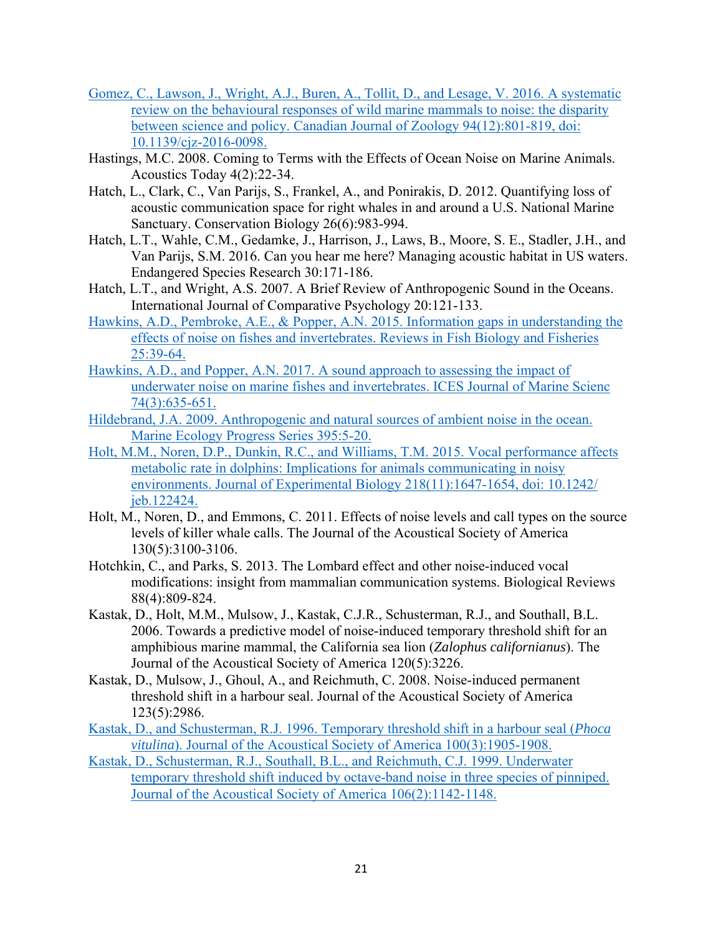- Gomez, C., Lawson, J., Wright, A.J., Buren, A., Tollit, D., and Lesage, V. 2016. A systematic review on the behavioural responses of wild marine mammals to noise: the disparity between science and policy. Canadian Journal of Zoology 94(12):801-819, doi: 10.1139/cjz-2016-0098.
- Hastings, M.C. 2008. Coming to Terms with the Effects of Ocean Noise on Marine Animals. Acoustics Today 4(2):22-34.
- Hatch, L., Clark, C., Van Parijs, S., Frankel, A., and Ponirakis, D. 2012. Quantifying loss of acoustic communication space for right whales in and around a U.S. National Marine Sanctuary. Conservation Biology 26(6):983-994.
- Hatch, L.T., Wahle, C.M., Gedamke, J., Harrison, J., Laws, B., Moore, S. E., Stadler, J.H., and Van Parijs, S.M. 2016. Can you hear me here? Managing acoustic habitat in US waters. Endangered Species Research 30:171-186.
- Hatch, L.T., and Wright, A.S. 2007. A Brief Review of Anthropogenic Sound in the Oceans. International Journal of Comparative Psychology 20:121-133.
- Hawkins, A.D., Pembroke, A.E., & Popper, A.N. 2015. Information gaps in understanding the effects of noise on fishes and invertebrates. Reviews in Fish Biology and Fisheries 25:39-64.
- Hawkins, A.D., and Popper, A.N. 2017. A sound approach to assessing the impact of underwater noise on marine fishes and invertebrates. ICES Journal of Marine Scienc 74(3):635-651.
- Hildebrand, J.A. 2009. Anthropogenic and natural sources of ambient noise in the ocean. Marine Ecology Progress Series 395:5-20.
- Holt, M.M., Noren, D.P., Dunkin, R.C., and Williams, T.M. 2015. Vocal performance affects metabolic rate in dolphins: Implications for animals communicating in noisy environments. Journal of Experimental Biology 218(11):1647-1654, doi: 10.1242/ jeb.122424.
- Holt, M., Noren, D., and Emmons, C. 2011. Effects of noise levels and call types on the source levels of killer whale calls. The Journal of the Acoustical Society of America 130(5):3100-3106.
- Hotchkin, C., and Parks, S. 2013. The Lombard effect and other noise-induced vocal modifications: insight from mammalian communication systems. Biological Reviews 88(4):809-824.
- Kastak, D., Holt, M.M., Mulsow, J., Kastak, C.J.R., Schusterman, R.J., and Southall, B.L. 2006. Towards a predictive model of noise-induced temporary threshold shift for an amphibious marine mammal, the California sea lion (*Zalophus californianus*). The Journal of the Acoustical Society of America 120(5):3226.
- Kastak, D., Mulsow, J., Ghoul, A., and Reichmuth, C. 2008. Noise-induced permanent threshold shift in a harbour seal. Journal of the Acoustical Society of America 123(5):2986.
- Kastak, D., and Schusterman, R.J. 1996. Temporary threshold shift in a harbour seal (*Phoca vitulina*). Journal of the Acoustical Society of America 100(3):1905-1908.
- Kastak, D., Schusterman, R.J., Southall, B.L., and Reichmuth, C.J. 1999. Underwater temporary threshold shift induced by octave-band noise in three species of pinniped. Journal of the Acoustical Society of America 106(2):1142-1148.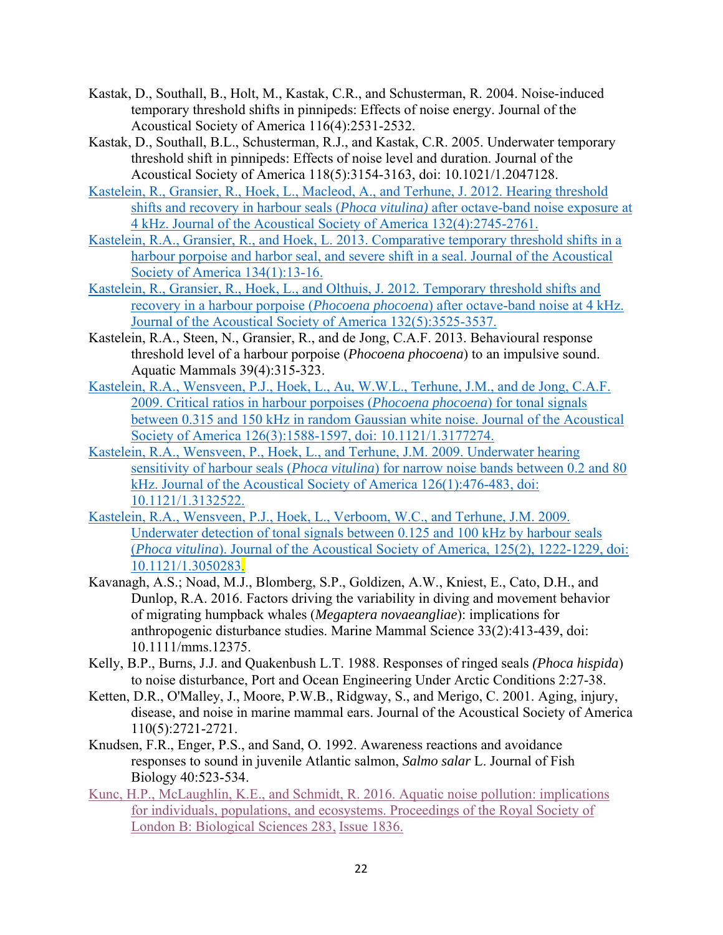- Kastak, D., Southall, B., Holt, M., Kastak, C.R., and Schusterman, R. 2004. Noise-induced temporary threshold shifts in pinnipeds: Effects of noise energy. Journal of the Acoustical Society of America 116(4):2531-2532.
- Kastak, D., Southall, B.L., Schusterman, R.J., and Kastak, C.R. 2005. Underwater temporary threshold shift in pinnipeds: Effects of noise level and duration. Journal of the Acoustical Society of America 118(5):3154-3163, doi: 10.1021/1.2047128.
- Kastelein, R., Gransier, R., Hoek, L., Macleod, A., and Terhune, J. 2012. Hearing threshold shifts and recovery in harbour seals (*Phoca vitulina)* after octave-band noise exposure at 4 kHz. Journal of the Acoustical Society of America 132(4):2745-2761.
- Kastelein, R.A., Gransier, R., and Hoek, L. 2013. Comparative temporary threshold shifts in a harbour porpoise and harbor seal, and severe shift in a seal. Journal of the Acoustical Society of America 134(1):13-16.
- Kastelein, R., Gransier, R., Hoek, L., and Olthuis, J. 2012. Temporary threshold shifts and recovery in a harbour porpoise (*Phocoena phocoena*) after octave-band noise at 4 kHz. Journal of the Acoustical Society of America 132(5):3525-3537.
- Kastelein, R.A., Steen, N., Gransier, R., and de Jong, C.A.F. 2013. Behavioural response threshold level of a harbour porpoise (*Phocoena phocoena*) to an impulsive sound. Aquatic Mammals 39(4):315-323.
- Kastelein, R.A., Wensveen, P.J., Hoek, L., Au, W.W.L., Terhune, J.M., and de Jong, C.A.F. 2009. Critical ratios in harbour porpoises (*Phocoena phocoena*) for tonal signals between 0.315 and 150 kHz in random Gaussian white noise. Journal of the Acoustical Society of America 126(3):1588-1597, doi: 10.1121/1.3177274.
- Kastelein, R.A., Wensveen, P., Hoek, L., and Terhune, J.M. 2009. Underwater hearing sensitivity of harbour seals (*Phoca vitulina*) for narrow noise bands between 0.2 and 80 kHz. Journal of the Acoustical Society of America 126(1):476-483, doi: 10.1121/1.3132522.
- Kastelein, R.A., Wensveen, P.J., Hoek, L., Verboom, W.C., and Terhune, J.M. 2009. Underwater detection of tonal signals between 0.125 and 100 kHz by harbour seals (*Phoca vitulina*). Journal of the Acoustical Society of America, 125(2), 1222-1229, doi: 10.1121/1.3050283.
- Kavanagh, A.S.; Noad, M.J., Blomberg, S.P., Goldizen, A.W., Kniest, E., Cato, D.H., and Dunlop, R.A. 2016. Factors driving the variability in diving and movement behavior of migrating humpback whales (*Megaptera novaeangliae*): implications for anthropogenic disturbance studies. Marine Mammal Science 33(2):413-439, doi: 10.1111/mms.12375.
- Kelly, B.P., Burns, J.J. and Quakenbush L.T. 1988. Responses of ringed seals *(Phoca hispida*) to noise disturbance, Port and Ocean Engineering Under Arctic Conditions 2:27-38.
- Ketten, D.R., O'Malley, J., Moore, P.W.B., Ridgway, S., and Merigo, C. 2001. Aging, injury, disease, and noise in marine mammal ears. Journal of the Acoustical Society of America 110(5):2721-2721.
- Knudsen, F.R., Enger, P.S., and Sand, O. 1992. Awareness reactions and avoidance responses to sound in juvenile Atlantic salmon, *Salmo salar* L. Journal of Fish Biology 40:523-534.
- Kunc, H.P., McLaughlin, K.E., and Schmidt, R. 2016. Aquatic noise pollution: implications for individuals, populations, and ecosystems. Proceedings of the Royal Society of London B: Biological Sciences 283, Issue 1836.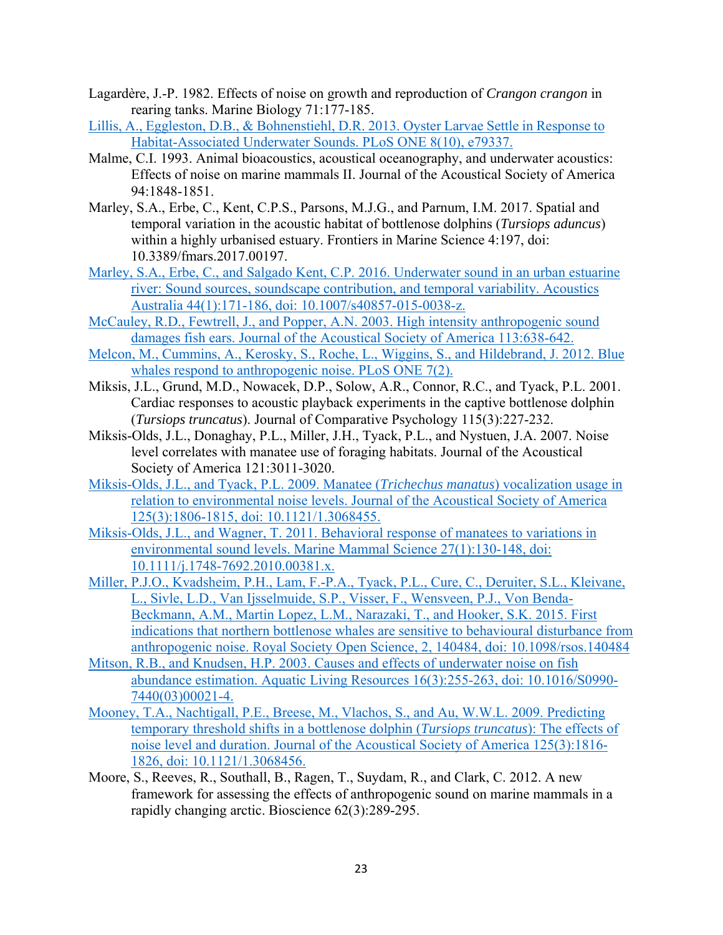- Lagardère, J.-P. 1982. Effects of noise on growth and reproduction of *Crangon crangon* in rearing tanks. Marine Biology 71:177-185.
- Lillis, A., Eggleston, D.B., & Bohnenstiehl, D.R. 2013. Oyster Larvae Settle in Response to Habitat-Associated Underwater Sounds. PLoS ONE 8(10), e79337.
- Malme, C.I. 1993. Animal bioacoustics, acoustical oceanography, and underwater acoustics: Effects of noise on marine mammals II. Journal of the Acoustical Society of America 94:1848-1851.
- Marley, S.A., Erbe, C., Kent, C.P.S., Parsons, M.J.G., and Parnum, I.M. 2017. Spatial and temporal variation in the acoustic habitat of bottlenose dolphins (*Tursiops aduncus*) within a highly urbanised estuary. Frontiers in Marine Science 4:197, doi: 10.3389/fmars.2017.00197.
- Marley, S.A., Erbe, C., and Salgado Kent, C.P. 2016. Underwater sound in an urban estuarine river: Sound sources, soundscape contribution, and temporal variability. Acoustics Australia 44(1):171-186, doi: 10.1007/s40857-015-0038-z.
- McCauley, R.D., Fewtrell, J., and Popper, A.N. 2003. High intensity anthropogenic sound damages fish ears. Journal of the Acoustical Society of America 113:638-642.
- Melcon, M., Cummins, A., Kerosky, S., Roche, L., Wiggins, S., and Hildebrand, J. 2012. Blue whales respond to anthropogenic noise. PLoS ONE 7(2).
- Miksis, J.L., Grund, M.D., Nowacek, D.P., Solow, A.R., Connor, R.C., and Tyack, P.L. 2001. Cardiac responses to acoustic playback experiments in the captive bottlenose dolphin (*Tursiops truncatus*). Journal of Comparative Psychology 115(3):227-232.
- Miksis-Olds, J.L., Donaghay, P.L., Miller, J.H., Tyack, P.L., and Nystuen, J.A. 2007. Noise level correlates with manatee use of foraging habitats. Journal of the Acoustical Society of America 121:3011-3020.
- Miksis-Olds, J.L., and Tyack, P.L. 2009. Manatee (*Trichechus manatus*) vocalization usage in relation to environmental noise levels. Journal of the Acoustical Society of America 125(3):1806-1815, doi: 10.1121/1.3068455.
- Miksis-Olds, J.L., and Wagner, T. 2011. Behavioral response of manatees to variations in environmental sound levels. Marine Mammal Science 27(1):130-148, doi: 10.1111/j.1748-7692.2010.00381.x.
- Miller, P.J.O., Kvadsheim, P.H., Lam, F.-P.A., Tyack, P.L., Cure, C., Deruiter, S.L., Kleivane, L., Sivle, L.D., Van Ijsselmuide, S.P., Visser, F., Wensveen, P.J., Von Benda-Beckmann, A.M., Martin Lopez, L.M., Narazaki, T., and Hooker, S.K. 2015. First indications that northern bottlenose whales are sensitive to behavioural disturbance from anthropogenic noise. Royal Society Open Science, 2, 140484, doi: 10.1098/rsos.140484
- Mitson, R.B., and Knudsen, H.P. 2003. Causes and effects of underwater noise on fish abundance estimation. Aquatic Living Resources 16(3):255-263, doi: 10.1016/S0990- 7440(03)00021-4.
- Mooney, T.A., Nachtigall, P.E., Breese, M., Vlachos, S., and Au, W.W.L. 2009. Predicting temporary threshold shifts in a bottlenose dolphin (*Tursiops truncatus*): The effects of noise level and duration. Journal of the Acoustical Society of America 125(3):1816- 1826, doi: 10.1121/1.3068456.
- Moore, S., Reeves, R., Southall, B., Ragen, T., Suydam, R., and Clark, C. 2012. A new framework for assessing the effects of anthropogenic sound on marine mammals in a rapidly changing arctic. Bioscience 62(3):289-295.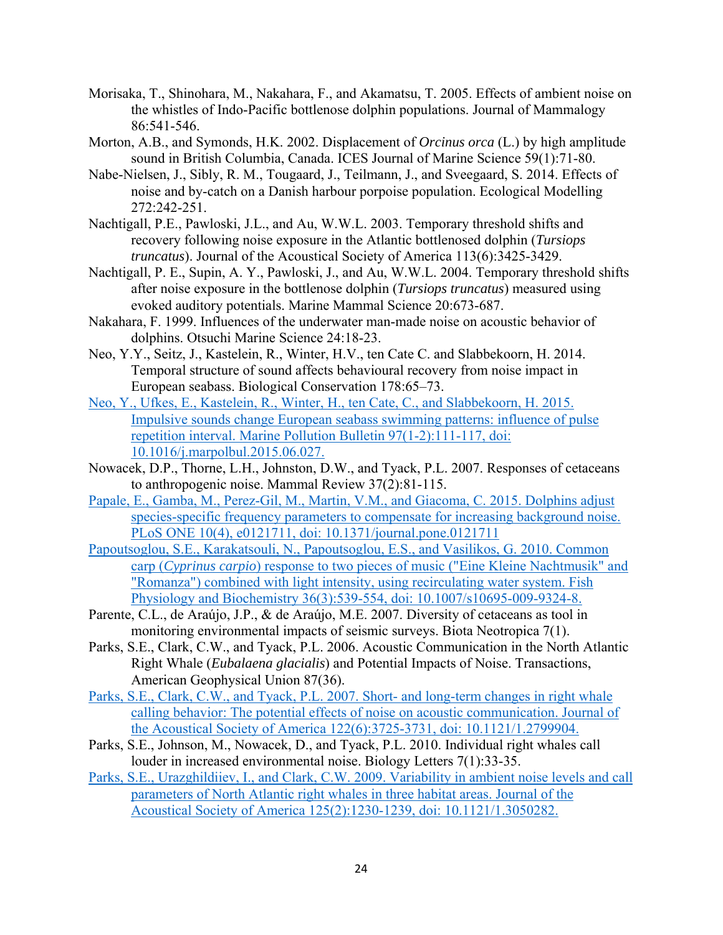- Morisaka, T., Shinohara, M., Nakahara, F., and Akamatsu, T. 2005. Effects of ambient noise on the whistles of Indo-Pacific bottlenose dolphin populations. Journal of Mammalogy 86:541-546.
- Morton, A.B., and Symonds, H.K. 2002. Displacement of *Orcinus orca* (L.) by high amplitude sound in British Columbia, Canada. ICES Journal of Marine Science 59(1):71-80.
- Nabe-Nielsen, J., Sibly, R. M., Tougaard, J., Teilmann, J., and Sveegaard, S. 2014. Effects of noise and by-catch on a Danish harbour porpoise population. Ecological Modelling 272:242-251.
- Nachtigall, P.E., Pawloski, J.L., and Au, W.W.L. 2003. Temporary threshold shifts and recovery following noise exposure in the Atlantic bottlenosed dolphin (*Tursiops truncatus*). Journal of the Acoustical Society of America 113(6):3425-3429.
- Nachtigall, P. E., Supin, A. Y., Pawloski, J., and Au, W.W.L. 2004. Temporary threshold shifts after noise exposure in the bottlenose dolphin (*Tursiops truncatus*) measured using evoked auditory potentials. Marine Mammal Science 20:673-687.
- Nakahara, F. 1999. Influences of the underwater man-made noise on acoustic behavior of dolphins. Otsuchi Marine Science 24:18-23.
- Neo, Y.Y., Seitz, J., Kastelein, R., Winter, H.V., ten Cate C. and Slabbekoorn, H. 2014. Temporal structure of sound affects behavioural recovery from noise impact in European seabass. Biological Conservation 178:65–73.
- Neo, Y., Ufkes, E., Kastelein, R., Winter, H., ten Cate, C., and Slabbekoorn, H. 2015. Impulsive sounds change European seabass swimming patterns: influence of pulse repetition interval. Marine Pollution Bulletin 97(1-2):111-117, doi: 10.1016/j.marpolbul.2015.06.027.
- Nowacek, D.P., Thorne, L.H., Johnston, D.W., and Tyack, P.L. 2007. Responses of cetaceans to anthropogenic noise. Mammal Review 37(2):81-115.
- Papale, E., Gamba, M., Perez-Gil, M., Martin, V.M., and Giacoma, C. 2015. Dolphins adjust species-specific frequency parameters to compensate for increasing background noise. PLoS ONE 10(4), e0121711, doi: 10.1371/journal.pone.0121711
- Papoutsoglou, S.E., Karakatsouli, N., Papoutsoglou, E.S., and Vasilikos, G. 2010. Common carp (*Cyprinus carpio*) response to two pieces of music ("Eine Kleine Nachtmusik" and "Romanza") combined with light intensity, using recirculating water system. Fish Physiology and Biochemistry 36(3):539-554, doi: 10.1007/s10695-009-9324-8.
- Parente, C.L., de Araújo, J.P., & de Araújo, M.E. 2007. Diversity of cetaceans as tool in monitoring environmental impacts of seismic surveys. Biota Neotropica 7(1).
- Parks, S.E., Clark, C.W., and Tyack, P.L. 2006. Acoustic Communication in the North Atlantic Right Whale (*Eubalaena glacialis*) and Potential Impacts of Noise. Transactions, American Geophysical Union 87(36).
- Parks, S.E., Clark, C.W., and Tyack, P.L. 2007. Short- and long-term changes in right whale calling behavior: The potential effects of noise on acoustic communication. Journal of the Acoustical Society of America 122(6):3725-3731, doi: 10.1121/1.2799904.
- Parks, S.E., Johnson, M., Nowacek, D., and Tyack, P.L. 2010. Individual right whales call louder in increased environmental noise. Biology Letters 7(1):33-35.
- Parks, S.E., Urazghildiiev, I., and Clark, C.W. 2009. Variability in ambient noise levels and call parameters of North Atlantic right whales in three habitat areas. Journal of the Acoustical Society of America 125(2):1230-1239, doi: 10.1121/1.3050282.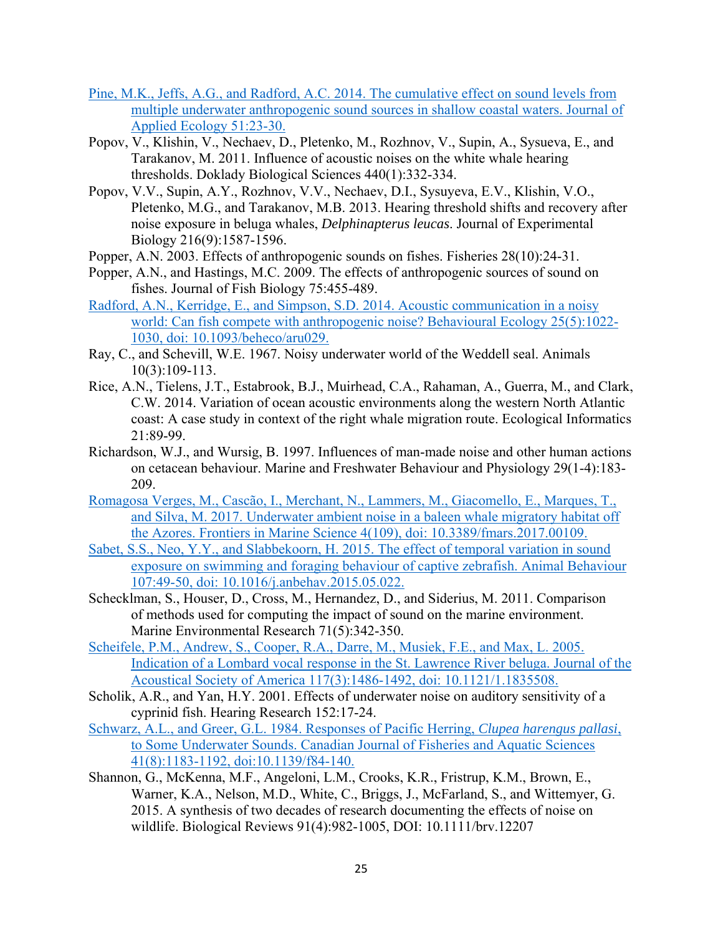- Pine, M.K., Jeffs, A.G., and Radford, A.C. 2014. The cumulative effect on sound levels from multiple underwater anthropogenic sound sources in shallow coastal waters. Journal of Applied Ecology 51:23-30.
- Popov, V., Klishin, V., Nechaev, D., Pletenko, M., Rozhnov, V., Supin, A., Sysueva, E., and Tarakanov, M. 2011. Influence of acoustic noises on the white whale hearing thresholds. Doklady Biological Sciences 440(1):332-334.
- Popov, V.V., Supin, A.Y., Rozhnov, V.V., Nechaev, D.I., Sysuyeva, E.V., Klishin, V.O., Pletenko, M.G., and Tarakanov, M.B. 2013. Hearing threshold shifts and recovery after noise exposure in beluga whales, *Delphinapterus leucas*. Journal of Experimental Biology 216(9):1587-1596.
- Popper, A.N. 2003. Effects of anthropogenic sounds on fishes. Fisheries 28(10):24-31.
- Popper, A.N., and Hastings, M.C. 2009. The effects of anthropogenic sources of sound on fishes. Journal of Fish Biology 75:455-489.
- Radford, A.N., Kerridge, E., and Simpson, S.D. 2014. Acoustic communication in a noisy world: Can fish compete with anthropogenic noise? Behavioural Ecology 25(5):1022- 1030, doi: 10.1093/beheco/aru029.
- Ray, C., and Schevill, W.E. 1967. Noisy underwater world of the Weddell seal. Animals 10(3):109-113.
- Rice, A.N., Tielens, J.T., Estabrook, B.J., Muirhead, C.A., Rahaman, A., Guerra, M., and Clark, C.W. 2014. Variation of ocean acoustic environments along the western North Atlantic coast: A case study in context of the right whale migration route. Ecological Informatics 21:89-99.
- Richardson, W.J., and Wursig, B. 1997. Influences of man-made noise and other human actions on cetacean behaviour. Marine and Freshwater Behaviour and Physiology 29(1-4):183- 209.
- Romagosa Verges, M., Cascão, I., Merchant, N., Lammers, M., Giacomello, E., Marques, T., and Silva, M. 2017. Underwater ambient noise in a baleen whale migratory habitat off the Azores. Frontiers in Marine Science 4(109), doi: 10.3389/fmars.2017.00109.
- Sabet, S.S., Neo, Y.Y., and Slabbekoorn, H. 2015. The effect of temporal variation in sound exposure on swimming and foraging behaviour of captive zebrafish. Animal Behaviour 107:49-50, doi: 10.1016/j.anbehav.2015.05.022.
- Schecklman, S., Houser, D., Cross, M., Hernandez, D., and Siderius, M. 2011. Comparison of methods used for computing the impact of sound on the marine environment. Marine Environmental Research 71(5):342-350.
- Scheifele, P.M., Andrew, S., Cooper, R.A., Darre, M., Musiek, F.E., and Max, L. 2005. Indication of a Lombard vocal response in the St. Lawrence River beluga. Journal of the Acoustical Society of America 117(3):1486-1492, doi: 10.1121/1.1835508.
- Scholik, A.R., and Yan, H.Y. 2001. Effects of underwater noise on auditory sensitivity of a cyprinid fish. Hearing Research 152:17-24.
- Schwarz, A.L., and Greer, G.L. 1984. Responses of Pacific Herring, *Clupea harengus pallasi*, to Some Underwater Sounds. Canadian Journal of Fisheries and Aquatic Sciences 41(8):1183-1192, doi:10.1139/f84-140.
- Shannon, G., McKenna, M.F., Angeloni, L.M., Crooks, K.R., Fristrup, K.M., Brown, E., Warner, K.A., Nelson, M.D., White, C., Briggs, J., McFarland, S., and Wittemyer, G. 2015. A synthesis of two decades of research documenting the effects of noise on wildlife. Biological Reviews 91(4):982-1005, DOI: 10.1111/brv.12207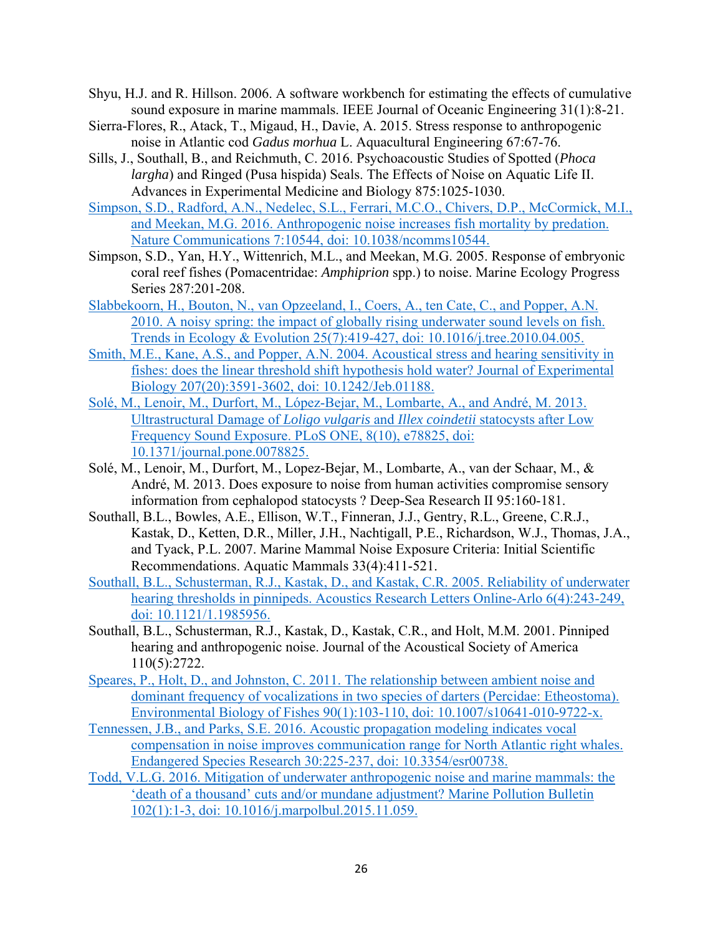- Shyu, H.J. and R. Hillson. 2006. A software workbench for estimating the effects of cumulative sound exposure in marine mammals. IEEE Journal of Oceanic Engineering 31(1):8-21.
- Sierra-Flores, R., Atack, T., Migaud, H., Davie, A. 2015. Stress response to anthropogenic noise in Atlantic cod *Gadus morhua* L. Aquacultural Engineering 67:67-76.
- Sills, J., Southall, B., and Reichmuth, C. 2016. Psychoacoustic Studies of Spotted (*Phoca largha*) and Ringed (Pusa hispida) Seals. The Effects of Noise on Aquatic Life II. Advances in Experimental Medicine and Biology 875:1025-1030.
- Simpson, S.D., Radford, A.N., Nedelec, S.L., Ferrari, M.C.O., Chivers, D.P., McCormick, M.I., and Meekan, M.G. 2016. Anthropogenic noise increases fish mortality by predation. Nature Communications 7:10544, doi: 10.1038/ncomms10544.
- Simpson, S.D., Yan, H.Y., Wittenrich, M.L., and Meekan, M.G. 2005. Response of embryonic coral reef fishes (Pomacentridae: *Amphiprion* spp.) to noise. Marine Ecology Progress Series 287:201-208.
- Slabbekoorn, H., Bouton, N., van Opzeeland, I., Coers, A., ten Cate, C., and Popper, A.N. 2010. A noisy spring: the impact of globally rising underwater sound levels on fish. Trends in Ecology & Evolution 25(7):419-427, doi: 10.1016/j.tree.2010.04.005.
- Smith, M.E., Kane, A.S., and Popper, A.N. 2004. Acoustical stress and hearing sensitivity in fishes: does the linear threshold shift hypothesis hold water? Journal of Experimental Biology 207(20):3591-3602, doi: 10.1242/Jeb.01188.
- Solé, M., Lenoir, M., Durfort, M., López-Bejar, M., Lombarte, A., and André, M. 2013. Ultrastructural Damage of *Loligo vulgaris* and *Illex coindetii* statocysts after Low Frequency Sound Exposure. PLoS ONE, 8(10), e78825, doi: 10.1371/journal.pone.0078825.
- Solé, M., Lenoir, M., Durfort, M., Lopez-Bejar, M., Lombarte, A., van der Schaar, M., & André, M. 2013. Does exposure to noise from human activities compromise sensory information from cephalopod statocysts ? Deep-Sea Research II 95:160-181.
- Southall, B.L., Bowles, A.E., Ellison, W.T., Finneran, J.J., Gentry, R.L., Greene, C.R.J., Kastak, D., Ketten, D.R., Miller, J.H., Nachtigall, P.E., Richardson, W.J., Thomas, J.A., and Tyack, P.L. 2007. Marine Mammal Noise Exposure Criteria: Initial Scientific Recommendations. Aquatic Mammals 33(4):411-521.
- Southall, B.L., Schusterman, R.J., Kastak, D., and Kastak, C.R. 2005. Reliability of underwater hearing thresholds in pinnipeds. Acoustics Research Letters Online-Arlo 6(4):243-249, doi: 10.1121/1.1985956.
- Southall, B.L., Schusterman, R.J., Kastak, D., Kastak, C.R., and Holt, M.M. 2001. Pinniped hearing and anthropogenic noise. Journal of the Acoustical Society of America 110(5):2722.
- Speares, P., Holt, D., and Johnston, C. 2011. The relationship between ambient noise and dominant frequency of vocalizations in two species of darters (Percidae: Etheostoma). Environmental Biology of Fishes 90(1):103-110, doi: 10.1007/s10641-010-9722-x.
- Tennessen, J.B., and Parks, S.E. 2016. Acoustic propagation modeling indicates vocal compensation in noise improves communication range for North Atlantic right whales. Endangered Species Research 30:225-237, doi: 10.3354/esr00738.
- Todd, V.L.G. 2016. Mitigation of underwater anthropogenic noise and marine mammals: the 'death of a thousand' cuts and/or mundane adjustment? Marine Pollution Bulletin 102(1):1-3, doi: 10.1016/j.marpolbul.2015.11.059.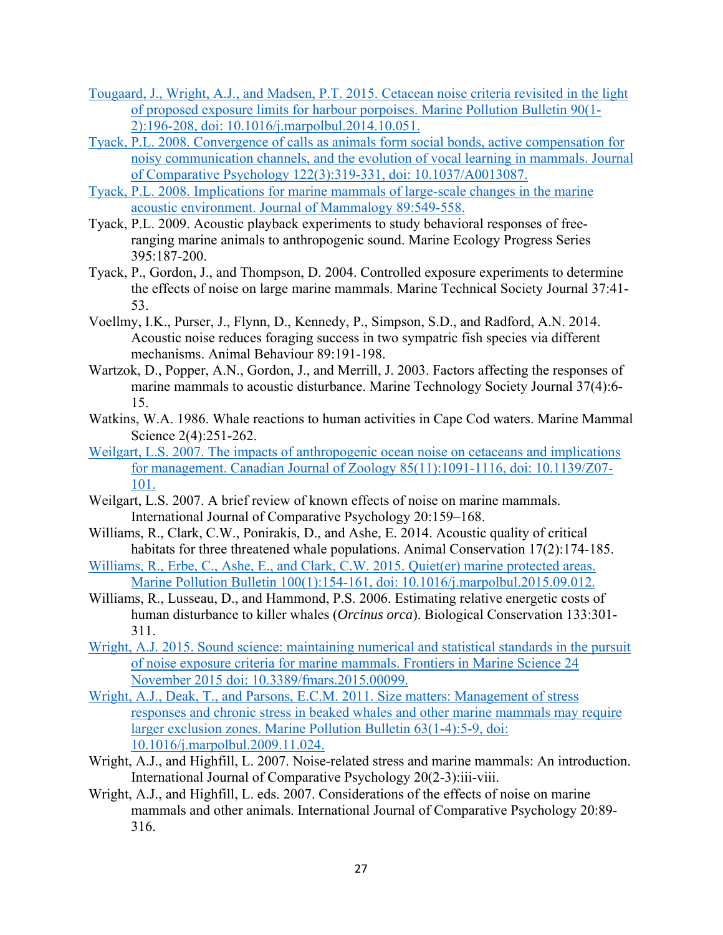- Tougaard, J., Wright, A.J., and Madsen, P.T. 2015. Cetacean noise criteria revisited in the light of proposed exposure limits for harbour porpoises. Marine Pollution Bulletin 90(1- 2):196-208, doi: 10.1016/j.marpolbul.2014.10.051.
- Tyack, P.L. 2008. Convergence of calls as animals form social bonds, active compensation for noisy communication channels, and the evolution of vocal learning in mammals. Journal of Comparative Psychology 122(3):319-331, doi: 10.1037/A0013087.
- Tyack, P.L. 2008. Implications for marine mammals of large-scale changes in the marine acoustic environment. Journal of Mammalogy 89:549-558.
- Tyack, P.L. 2009. Acoustic playback experiments to study behavioral responses of freeranging marine animals to anthropogenic sound. Marine Ecology Progress Series 395:187-200.
- Tyack, P., Gordon, J., and Thompson, D. 2004. Controlled exposure experiments to determine the effects of noise on large marine mammals. Marine Technical Society Journal 37:41- 53.
- Voellmy, I.K., Purser, J., Flynn, D., Kennedy, P., Simpson, S.D., and Radford, A.N. 2014. Acoustic noise reduces foraging success in two sympatric fish species via different mechanisms. Animal Behaviour 89:191-198.
- Wartzok, D., Popper, A.N., Gordon, J., and Merrill, J. 2003. Factors affecting the responses of marine mammals to acoustic disturbance. Marine Technology Society Journal 37(4):6- 15.
- Watkins, W.A. 1986. Whale reactions to human activities in Cape Cod waters. Marine Mammal Science 2(4):251-262.
- Weilgart, L.S. 2007. The impacts of anthropogenic ocean noise on cetaceans and implications for management. Canadian Journal of Zoology 85(11):1091-1116, doi: 10.1139/Z07- 101.
- Weilgart, L.S. 2007. A brief review of known effects of noise on marine mammals. International Journal of Comparative Psychology 20:159–168.
- Williams, R., Clark, C.W., Ponirakis, D., and Ashe, E. 2014. Acoustic quality of critical habitats for three threatened whale populations. Animal Conservation 17(2):174-185.
- Williams, R., Erbe, C., Ashe, E., and Clark, C.W. 2015. Quiet(er) marine protected areas. Marine Pollution Bulletin 100(1):154-161, doi: 10.1016/j.marpolbul.2015.09.012.
- Williams, R., Lusseau, D., and Hammond, P.S. 2006. Estimating relative energetic costs of human disturbance to killer whales (*Orcinus orca*). Biological Conservation 133:301- 311.
- Wright, A.J. 2015. Sound science: maintaining numerical and statistical standards in the pursuit of noise exposure criteria for marine mammals. Frontiers in Marine Science 24 November 2015 doi: 10.3389/fmars.2015.00099.
- Wright, A.J., Deak, T., and Parsons, E.C.M. 2011. Size matters: Management of stress responses and chronic stress in beaked whales and other marine mammals may require larger exclusion zones. Marine Pollution Bulletin 63(1-4):5-9, doi: 10.1016/j.marpolbul.2009.11.024.
- Wright, A.J., and Highfill, L. 2007. Noise-related stress and marine mammals: An introduction. International Journal of Comparative Psychology 20(2-3):iii-viii.
- Wright, A.J., and Highfill, L. eds. 2007. Considerations of the effects of noise on marine mammals and other animals. International Journal of Comparative Psychology 20:89- 316.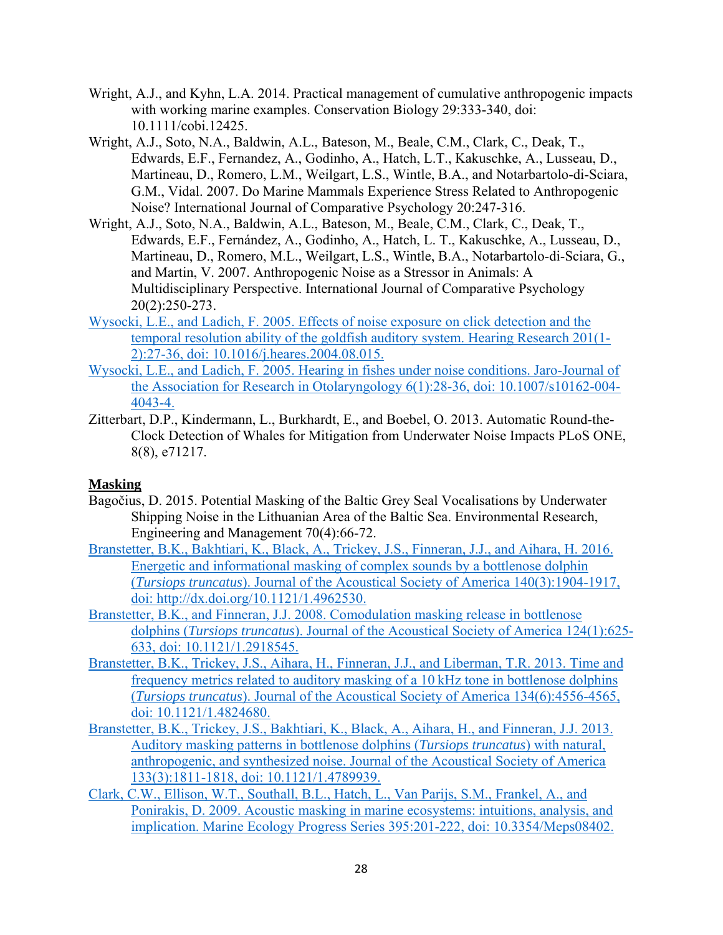- Wright, A.J., and Kyhn, L.A. 2014. Practical management of cumulative anthropogenic impacts with working marine examples. Conservation Biology 29:333-340, doi: 10.1111/cobi.12425.
- Wright, A.J., Soto, N.A., Baldwin, A.L., Bateson, M., Beale, C.M., Clark, C., Deak, T., Edwards, E.F., Fernandez, A., Godinho, A., Hatch, L.T., Kakuschke, A., Lusseau, D., Martineau, D., Romero, L.M., Weilgart, L.S., Wintle, B.A., and Notarbartolo-di-Sciara, G.M., Vidal. 2007. Do Marine Mammals Experience Stress Related to Anthropogenic Noise? International Journal of Comparative Psychology 20:247-316.
- Wright, A.J., Soto, N.A., Baldwin, A.L., Bateson, M., Beale, C.M., Clark, C., Deak, T., Edwards, E.F., Fernández, A., Godinho, A., Hatch, L. T., Kakuschke, A., Lusseau, D., Martineau, D., Romero, M.L., Weilgart, L.S., Wintle, B.A., Notarbartolo-di-Sciara, G., and Martin, V. 2007. Anthropogenic Noise as a Stressor in Animals: A Multidisciplinary Perspective. International Journal of Comparative Psychology 20(2):250-273.
- Wysocki, L.E., and Ladich, F. 2005. Effects of noise exposure on click detection and the temporal resolution ability of the goldfish auditory system. Hearing Research 201(1- 2):27-36, doi: 10.1016/j.heares.2004.08.015.
- Wysocki, L.E., and Ladich, F. 2005. Hearing in fishes under noise conditions. Jaro-Journal of the Association for Research in Otolaryngology 6(1):28-36, doi: 10.1007/s10162-004- 4043-4.
- Zitterbart, D.P., Kindermann, L., Burkhardt, E., and Boebel, O. 2013. Automatic Round-the-Clock Detection of Whales for Mitigation from Underwater Noise Impacts PLoS ONE, 8(8), e71217.

## **Masking**

- Bagočius, D. 2015. Potential Masking of the Baltic Grey Seal Vocalisations by Underwater Shipping Noise in the Lithuanian Area of the Baltic Sea. Environmental Research, Engineering and Management 70(4):66-72.
- Branstetter, B.K., Bakhtiari, K., Black, A., Trickey, J.S., Finneran, J.J., and Aihara, H. 2016. Energetic and informational masking of complex sounds by a bottlenose dolphin (*Tursiops truncatus*). Journal of the Acoustical Society of America 140(3):1904-1917, doi: http://dx.doi.org/10.1121/1.4962530.
- Branstetter, B.K., and Finneran, J.J. 2008. Comodulation masking release in bottlenose dolphins (*Tursiops truncatus*). Journal of the Acoustical Society of America 124(1):625- 633, doi: 10.1121/1.2918545.
- Branstetter, B.K., Trickey, J.S., Aihara, H., Finneran, J.J., and Liberman, T.R. 2013. Time and frequency metrics related to auditory masking of a 10 kHz tone in bottlenose dolphins (*Tursiops truncatus*). Journal of the Acoustical Society of America 134(6):4556-4565, doi: 10.1121/1.4824680.
- Branstetter, B.K., Trickey, J.S., Bakhtiari, K., Black, A., Aihara, H., and Finneran, J.J. 2013. Auditory masking patterns in bottlenose dolphins (*Tursiops truncatus*) with natural, anthropogenic, and synthesized noise. Journal of the Acoustical Society of America 133(3):1811-1818, doi: 10.1121/1.4789939.
- Clark, C.W., Ellison, W.T., Southall, B.L., Hatch, L., Van Parijs, S.M., Frankel, A., and Ponirakis, D. 2009. Acoustic masking in marine ecosystems: intuitions, analysis, and implication. Marine Ecology Progress Series 395:201-222, doi: 10.3354/Meps08402.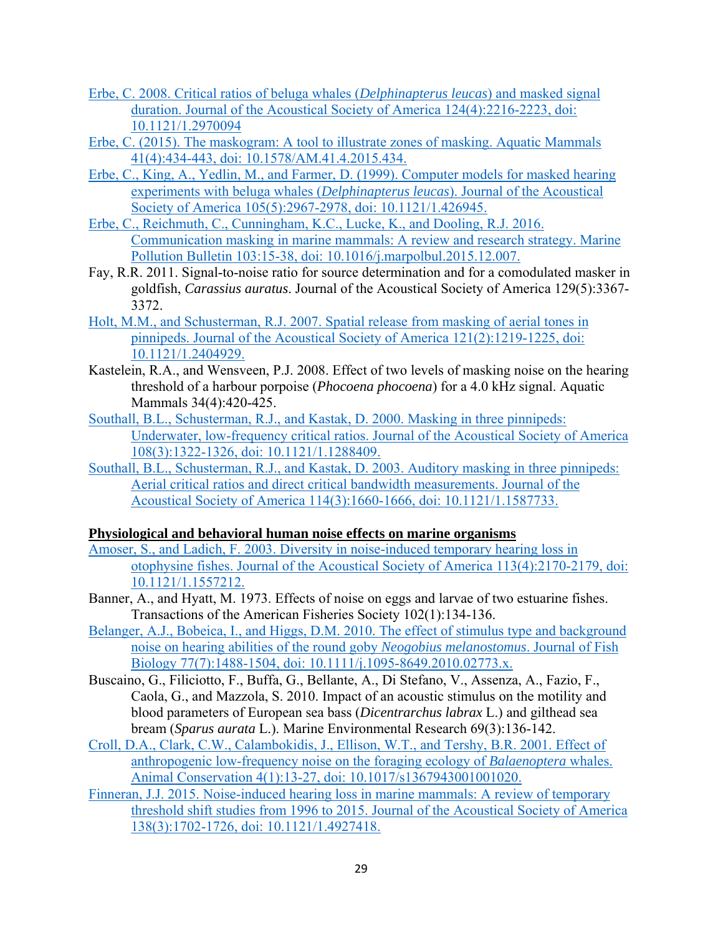- Erbe, C. 2008. Critical ratios of beluga whales (*Delphinapterus leucas*) and masked signal duration. Journal of the Acoustical Society of America 124(4):2216-2223, doi: 10.1121/1.2970094
- Erbe, C. (2015). The maskogram: A tool to illustrate zones of masking. Aquatic Mammals 41(4):434-443, doi: 10.1578/AM.41.4.2015.434.
- Erbe, C., King, A., Yedlin, M., and Farmer, D. (1999). Computer models for masked hearing experiments with beluga whales (*Delphinapterus leucas*). Journal of the Acoustical Society of America 105(5):2967-2978, doi: 10.1121/1.426945.
- Erbe, C., Reichmuth, C., Cunningham, K.C., Lucke, K., and Dooling, R.J. 2016. Communication masking in marine mammals: A review and research strategy. Marine Pollution Bulletin 103:15-38, doi: 10.1016/j.marpolbul.2015.12.007.
- Fay, R.R. 2011. Signal-to-noise ratio for source determination and for a comodulated masker in goldfish, *Carassius auratus*. Journal of the Acoustical Society of America 129(5):3367- 3372.
- Holt, M.M., and Schusterman, R.J. 2007. Spatial release from masking of aerial tones in pinnipeds. Journal of the Acoustical Society of America 121(2):1219-1225, doi: 10.1121/1.2404929.
- Kastelein, R.A., and Wensveen, P.J. 2008. Effect of two levels of masking noise on the hearing threshold of a harbour porpoise (*Phocoena phocoena*) for a 4.0 kHz signal. Aquatic Mammals 34(4):420-425.
- Southall, B.L., Schusterman, R.J., and Kastak, D. 2000. Masking in three pinnipeds: Underwater, low-frequency critical ratios. Journal of the Acoustical Society of America 108(3):1322-1326, doi: 10.1121/1.1288409.
- Southall, B.L., Schusterman, R.J., and Kastak, D. 2003. Auditory masking in three pinnipeds: Aerial critical ratios and direct critical bandwidth measurements. Journal of the Acoustical Society of America 114(3):1660-1666, doi: 10.1121/1.1587733.

#### **Physiological and behavioral human noise effects on marine organisms**

- Amoser, S., and Ladich, F. 2003. Diversity in noise-induced temporary hearing loss in otophysine fishes. Journal of the Acoustical Society of America 113(4):2170-2179, doi: 10.1121/1.1557212.
- Banner, A., and Hyatt, M. 1973. Effects of noise on eggs and larvae of two estuarine fishes. Transactions of the American Fisheries Society 102(1):134-136.
- Belanger, A.J., Bobeica, I., and Higgs, D.M. 2010. The effect of stimulus type and background noise on hearing abilities of the round goby *Neogobius melanostomus*. Journal of Fish Biology 77(7):1488-1504, doi: 10.1111/j.1095-8649.2010.02773.x.
- Buscaino, G., Filiciotto, F., Buffa, G., Bellante, A., Di Stefano, V., Assenza, A., Fazio, F., Caola, G., and Mazzola, S. 2010. Impact of an acoustic stimulus on the motility and blood parameters of European sea bass (*Dicentrarchus labrax* L.) and gilthead sea bream (*Sparus aurata* L.). Marine Environmental Research 69(3):136-142.
- Croll, D.A., Clark, C.W., Calambokidis, J., Ellison, W.T., and Tershy, B.R. 2001. Effect of anthropogenic low-frequency noise on the foraging ecology of *Balaenoptera* whales. Animal Conservation 4(1):13-27, doi: 10.1017/s1367943001001020.
- Finneran, J.J. 2015. Noise-induced hearing loss in marine mammals: A review of temporary threshold shift studies from 1996 to 2015. Journal of the Acoustical Society of America 138(3):1702-1726, doi: 10.1121/1.4927418.